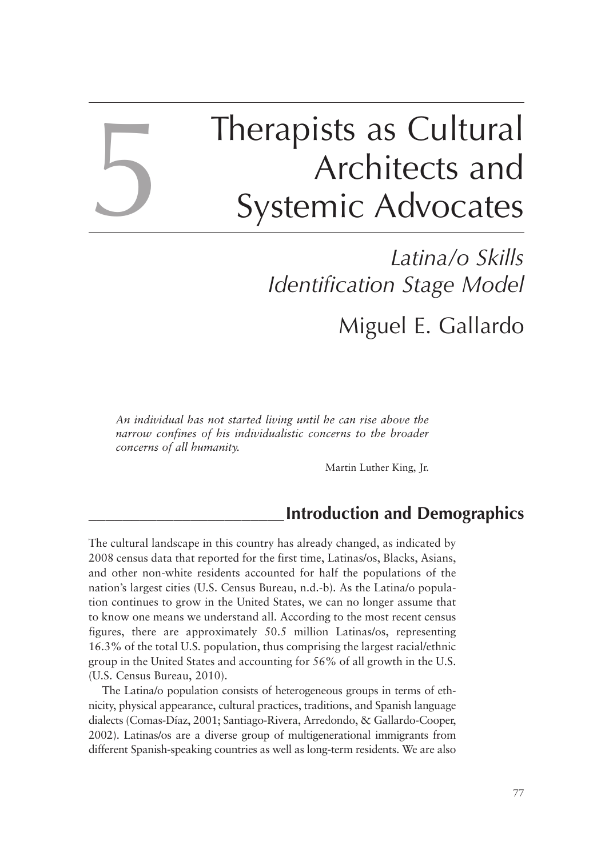# Therapists as Cultural Architects and Systemic Advocates

## *Latina/o Skills Identification Stage Model* Miguel E. Gallardo

*An individual has not started living until he can rise above the narrow confines of his individualistic concerns to the broader concerns of all humanity.*

5

Martin Luther King, Jr.

## **\_\_\_\_\_\_\_\_\_\_\_\_\_\_\_\_\_\_\_\_\_\_\_Introduction and Demographics**

The cultural landscape in this country has already changed, as indicated by 2008 census data that reported for the first time, Latinas/os, Blacks, Asians, and other non-white residents accounted for half the populations of the nation's largest cities (U.S. Census Bureau, n.d.-b). As the Latina/o population continues to grow in the United States, we can no longer assume that to know one means we understand all. According to the most recent census figures, there are approximately 50.5 million Latinas/os, representing 16.3% of the total U.S. population, thus comprising the largest racial/ethnic group in the United States and accounting for 56% of all growth in the U.S. (U.S. Census Bureau, 2010).

The Latina/o population consists of heterogeneous groups in terms of ethnicity, physical appearance, cultural practices, traditions, and Spanish language dialects (Comas-Díaz, 2001; Santiago-Rivera, Arredondo, & Gallardo-Cooper, 2002). Latinas/os are a diverse group of multigenerational immigrants from different Spanish-speaking countries as well as long-term residents. We are also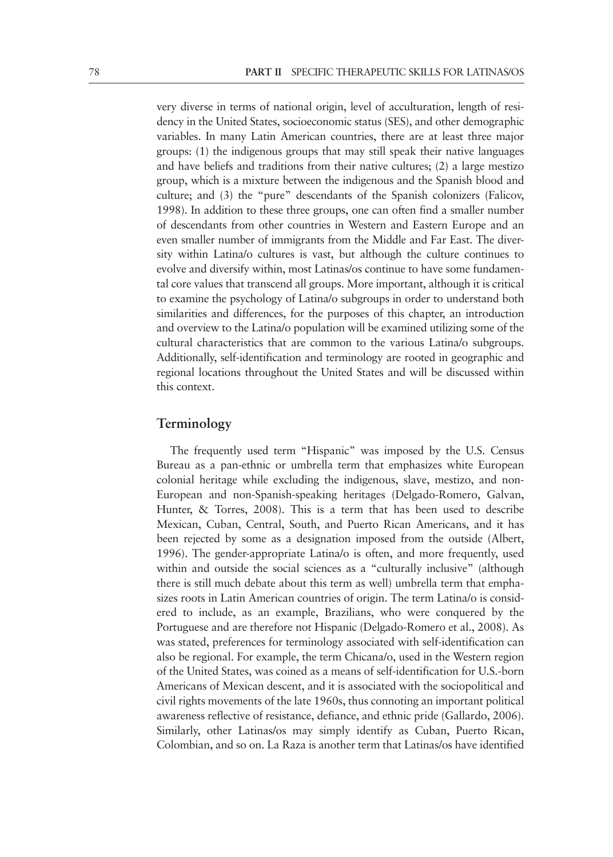very diverse in terms of national origin, level of acculturation, length of residency in the United States, socioeconomic status (SES), and other demographic variables. In many Latin American countries, there are at least three major groups: (1) the indigenous groups that may still speak their native languages and have beliefs and traditions from their native cultures; (2) a large mestizo group, which is a mixture between the indigenous and the Spanish blood and culture; and (3) the "pure" descendants of the Spanish colonizers (Falicov, 1998). In addition to these three groups, one can often find a smaller number of descendants from other countries in Western and Eastern Europe and an even smaller number of immigrants from the Middle and Far East. The diversity within Latina/o cultures is vast, but although the culture continues to evolve and diversify within, most Latinas/os continue to have some fundamental core values that transcend all groups. More important, although it is critical to examine the psychology of Latina/o subgroups in order to understand both similarities and differences, for the purposes of this chapter, an introduction and overview to the Latina/o population will be examined utilizing some of the cultural characteristics that are common to the various Latina/o subgroups. Additionally, self-identification and terminology are rooted in geographic and regional locations throughout the United States and will be discussed within this context.

#### **Terminology**

The frequently used term "Hispanic" was imposed by the U.S. Census Bureau as a pan-ethnic or umbrella term that emphasizes white European colonial heritage while excluding the indigenous, slave, mestizo, and non-European and non-Spanish-speaking heritages (Delgado-Romero, Galvan, Hunter, & Torres, 2008). This is a term that has been used to describe Mexican, Cuban, Central, South, and Puerto Rican Americans, and it has been rejected by some as a designation imposed from the outside (Albert, 1996). The gender-appropriate Latina/o is often, and more frequently, used within and outside the social sciences as a "culturally inclusive" (although there is still much debate about this term as well) umbrella term that emphasizes roots in Latin American countries of origin. The term Latina/o is considered to include, as an example, Brazilians, who were conquered by the Portuguese and are therefore not Hispanic (Delgado-Romero et al., 2008). As was stated, preferences for terminology associated with self-identification can also be regional. For example, the term Chicana/o, used in the Western region of the United States, was coined as a means of self-identification for U.S.-born Americans of Mexican descent, and it is associated with the sociopolitical and civil rights movements of the late 1960s, thus connoting an important political awareness reflective of resistance, defiance, and ethnic pride (Gallardo, 2006). Similarly, other Latinas/os may simply identify as Cuban, Puerto Rican, Colombian, and so on. La Raza is another term that Latinas/os have identified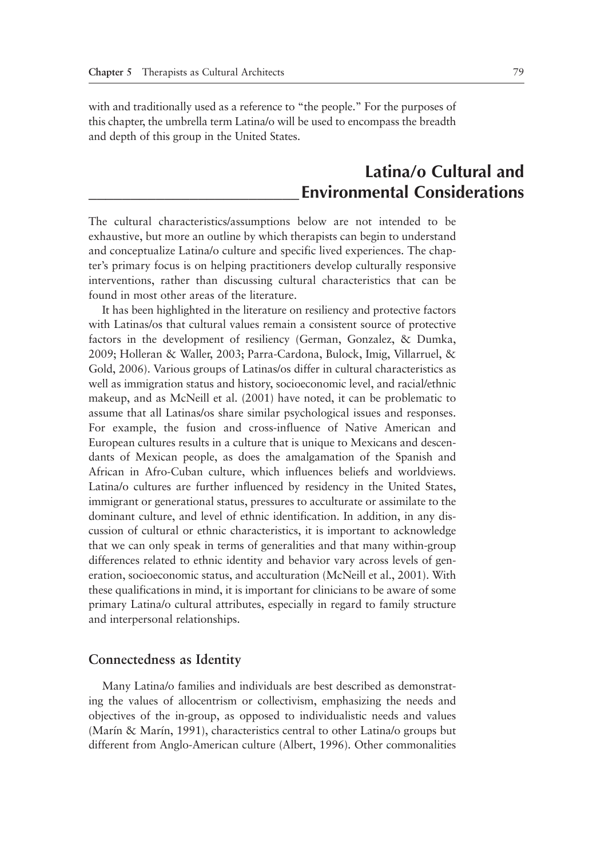with and traditionally used as a reference to "the people." For the purposes of this chapter, the umbrella term Latina/o will be used to encompass the breadth and depth of this group in the United States.

## **Latina/o Cultural and \_\_\_\_\_\_\_\_\_\_\_\_\_\_\_\_\_\_\_\_\_\_\_\_\_Environmental Considerations**

The cultural characteristics/assumptions below are not intended to be exhaustive, but more an outline by which therapists can begin to understand and conceptualize Latina/o culture and specific lived experiences. The chapter's primary focus is on helping practitioners develop culturally responsive interventions, rather than discussing cultural characteristics that can be found in most other areas of the literature.

It has been highlighted in the literature on resiliency and protective factors with Latinas/os that cultural values remain a consistent source of protective factors in the development of resiliency (German, Gonzalez, & Dumka, 2009; Holleran & Waller, 2003; Parra-Cardona, Bulock, Imig, Villarruel, & Gold, 2006). Various groups of Latinas/os differ in cultural characteristics as well as immigration status and history, socioeconomic level, and racial/ethnic makeup, and as McNeill et al. (2001) have noted, it can be problematic to assume that all Latinas/os share similar psychological issues and responses. For example, the fusion and cross-influence of Native American and European cultures results in a culture that is unique to Mexicans and descendants of Mexican people, as does the amalgamation of the Spanish and African in Afro-Cuban culture, which influences beliefs and worldviews. Latina/o cultures are further influenced by residency in the United States, immigrant or generational status, pressures to acculturate or assimilate to the dominant culture, and level of ethnic identification. In addition, in any discussion of cultural or ethnic characteristics, it is important to acknowledge that we can only speak in terms of generalities and that many within-group differences related to ethnic identity and behavior vary across levels of generation, socioeconomic status, and acculturation (McNeill et al., 2001). With these qualifications in mind, it is important for clinicians to be aware of some primary Latina/o cultural attributes, especially in regard to family structure and interpersonal relationships.

#### **Connectedness as Identity**

Many Latina/o families and individuals are best described as demonstrating the values of allocentrism or collectivism, emphasizing the needs and objectives of the in-group, as opposed to individualistic needs and values (Marín & Marín, 1991), characteristics central to other Latina/o groups but different from Anglo-American culture (Albert, 1996). Other commonalities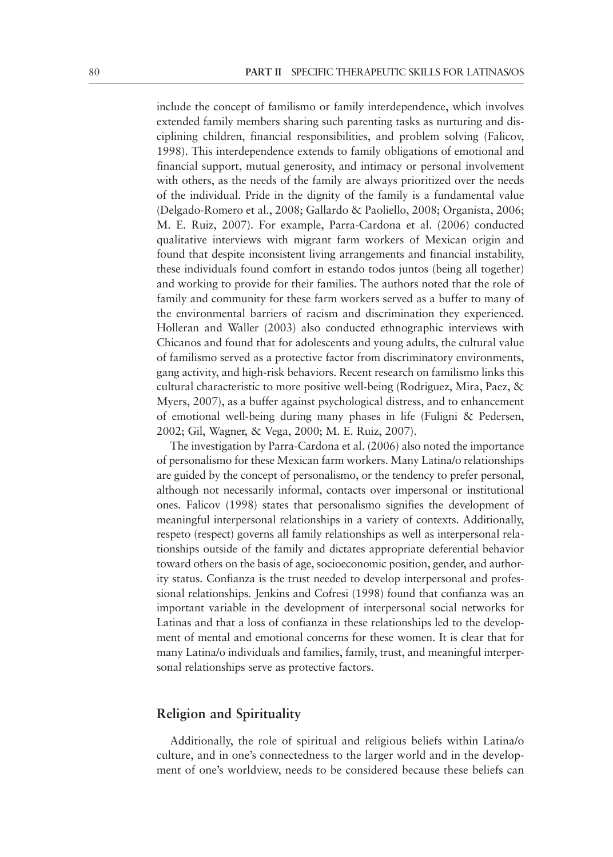include the concept of familismo or family interdependence, which involves extended family members sharing such parenting tasks as nurturing and disciplining children, financial responsibilities, and problem solving (Falicov, 1998). This interdependence extends to family obligations of emotional and financial support, mutual generosity, and intimacy or personal involvement with others, as the needs of the family are always prioritized over the needs of the individual. Pride in the dignity of the family is a fundamental value (Delgado-Romero et al., 2008; Gallardo & Paoliello, 2008; Organista, 2006; M. E. Ruiz, 2007). For example, Parra-Cardona et al. (2006) conducted qualitative interviews with migrant farm workers of Mexican origin and found that despite inconsistent living arrangements and financial instability, these individuals found comfort in estando todos juntos (being all together) and working to provide for their families. The authors noted that the role of family and community for these farm workers served as a buffer to many of the environmental barriers of racism and discrimination they experienced. Holleran and Waller (2003) also conducted ethnographic interviews with Chicanos and found that for adolescents and young adults, the cultural value of familismo served as a protective factor from discriminatory environments, gang activity, and high-risk behaviors. Recent research on familismo links this cultural characteristic to more positive well-being (Rodriguez, Mira, Paez, & Myers, 2007), as a buffer against psychological distress, and to enhancement of emotional well-being during many phases in life (Fuligni & Pedersen, 2002; Gil, Wagner, & Vega, 2000; M. E. Ruiz, 2007).

The investigation by Parra-Cardona et al. (2006) also noted the importance of personalismo for these Mexican farm workers. Many Latina/o relationships are guided by the concept of personalismo, or the tendency to prefer personal, although not necessarily informal, contacts over impersonal or institutional ones. Falicov (1998) states that personalismo signifies the development of meaningful interpersonal relationships in a variety of contexts. Additionally, respeto (respect) governs all family relationships as well as interpersonal relationships outside of the family and dictates appropriate deferential behavior toward others on the basis of age, socioeconomic position, gender, and authority status. Confianza is the trust needed to develop interpersonal and professional relationships. Jenkins and Cofresi (1998) found that confianza was an important variable in the development of interpersonal social networks for Latinas and that a loss of confianza in these relationships led to the development of mental and emotional concerns for these women. It is clear that for many Latina/o individuals and families, family, trust, and meaningful interpersonal relationships serve as protective factors.

#### **Religion and Spirituality**

Additionally, the role of spiritual and religious beliefs within Latina/o culture, and in one's connectedness to the larger world and in the development of one's worldview, needs to be considered because these beliefs can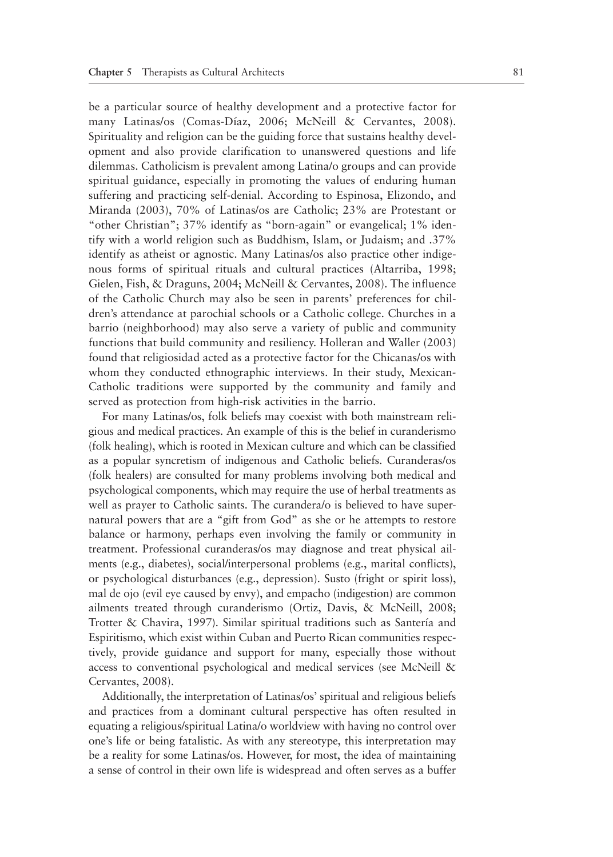be a particular source of healthy development and a protective factor for many Latinas/os (Comas-Díaz, 2006; McNeill & Cervantes, 2008). Spirituality and religion can be the guiding force that sustains healthy development and also provide clarification to unanswered questions and life dilemmas. Catholicism is prevalent among Latina/o groups and can provide spiritual guidance, especially in promoting the values of enduring human suffering and practicing self-denial. According to Espinosa, Elizondo, and Miranda (2003), 70% of Latinas/os are Catholic; 23% are Protestant or "other Christian"; 37% identify as "born-again" or evangelical; 1% identify with a world religion such as Buddhism, Islam, or Judaism; and .37% identify as atheist or agnostic. Many Latinas/os also practice other indigenous forms of spiritual rituals and cultural practices (Altarriba, 1998; Gielen, Fish, & Draguns, 2004; McNeill & Cervantes, 2008). The influence of the Catholic Church may also be seen in parents' preferences for children's attendance at parochial schools or a Catholic college. Churches in a barrio (neighborhood) may also serve a variety of public and community functions that build community and resiliency. Holleran and Waller (2003) found that religiosidad acted as a protective factor for the Chicanas/os with whom they conducted ethnographic interviews. In their study, Mexican-Catholic traditions were supported by the community and family and served as protection from high-risk activities in the barrio.

For many Latinas/os, folk beliefs may coexist with both mainstream religious and medical practices. An example of this is the belief in curanderismo (folk healing), which is rooted in Mexican culture and which can be classified as a popular syncretism of indigenous and Catholic beliefs. Curanderas/os (folk healers) are consulted for many problems involving both medical and psychological components, which may require the use of herbal treatments as well as prayer to Catholic saints. The curandera/o is believed to have supernatural powers that are a "gift from God" as she or he attempts to restore balance or harmony, perhaps even involving the family or community in treatment. Professional curanderas/os may diagnose and treat physical ailments (e.g., diabetes), social/interpersonal problems (e.g., marital conflicts), or psychological disturbances (e.g., depression). Susto (fright or spirit loss), mal de ojo (evil eye caused by envy), and empacho (indigestion) are common ailments treated through curanderismo (Ortiz, Davis, & McNeill, 2008; Trotter & Chavira, 1997). Similar spiritual traditions such as Santería and Espiritismo, which exist within Cuban and Puerto Rican communities respectively, provide guidance and support for many, especially those without access to conventional psychological and medical services (see McNeill & Cervantes, 2008).

Additionally, the interpretation of Latinas/os' spiritual and religious beliefs and practices from a dominant cultural perspective has often resulted in equating a religious/spiritual Latina/o worldview with having no control over one's life or being fatalistic. As with any stereotype, this interpretation may be a reality for some Latinas/os. However, for most, the idea of maintaining a sense of control in their own life is widespread and often serves as a buffer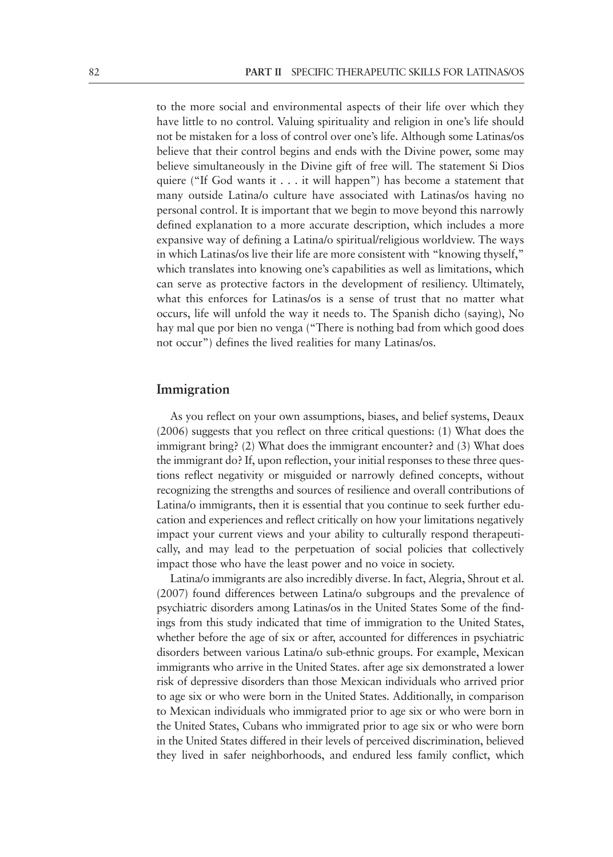to the more social and environmental aspects of their life over which they have little to no control. Valuing spirituality and religion in one's life should not be mistaken for a loss of control over one's life. Although some Latinas/os believe that their control begins and ends with the Divine power, some may believe simultaneously in the Divine gift of free will. The statement Si Dios quiere ("If God wants it . . . it will happen") has become a statement that many outside Latina/o culture have associated with Latinas/os having no personal control. It is important that we begin to move beyond this narrowly defined explanation to a more accurate description, which includes a more expansive way of defining a Latina/o spiritual/religious worldview. The ways in which Latinas/os live their life are more consistent with "knowing thyself," which translates into knowing one's capabilities as well as limitations, which can serve as protective factors in the development of resiliency. Ultimately, what this enforces for Latinas/os is a sense of trust that no matter what occurs, life will unfold the way it needs to. The Spanish dicho (saying), No hay mal que por bien no venga ("There is nothing bad from which good does not occur") defines the lived realities for many Latinas/os.

#### **Immigration**

As you reflect on your own assumptions, biases, and belief systems, Deaux (2006) suggests that you reflect on three critical questions: (1) What does the immigrant bring? (2) What does the immigrant encounter? and (3) What does the immigrant do? If, upon reflection, your initial responses to these three questions reflect negativity or misguided or narrowly defined concepts, without recognizing the strengths and sources of resilience and overall contributions of Latina/o immigrants, then it is essential that you continue to seek further education and experiences and reflect critically on how your limitations negatively impact your current views and your ability to culturally respond therapeutically, and may lead to the perpetuation of social policies that collectively impact those who have the least power and no voice in society.

Latina/o immigrants are also incredibly diverse. In fact, Alegria, Shrout et al. (2007) found differences between Latina/o subgroups and the prevalence of psychiatric disorders among Latinas/os in the United States Some of the findings from this study indicated that time of immigration to the United States, whether before the age of six or after, accounted for differences in psychiatric disorders between various Latina/o sub-ethnic groups. For example, Mexican immigrants who arrive in the United States. after age six demonstrated a lower risk of depressive disorders than those Mexican individuals who arrived prior to age six or who were born in the United States. Additionally, in comparison to Mexican individuals who immigrated prior to age six or who were born in the United States, Cubans who immigrated prior to age six or who were born in the United States differed in their levels of perceived discrimination, believed they lived in safer neighborhoods, and endured less family conflict, which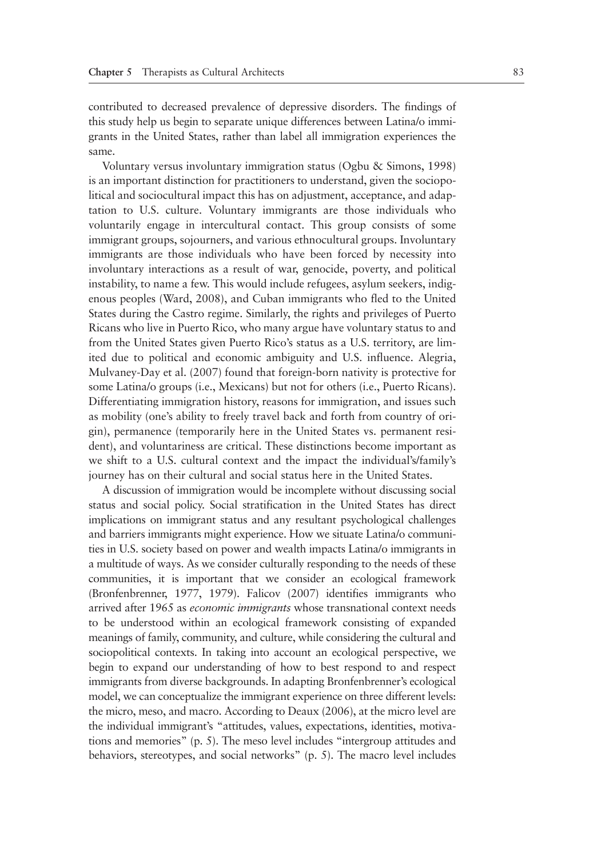contributed to decreased prevalence of depressive disorders. The findings of this study help us begin to separate unique differences between Latina/o immigrants in the United States, rather than label all immigration experiences the same.

Voluntary versus involuntary immigration status (Ogbu & Simons, 1998) is an important distinction for practitioners to understand, given the sociopolitical and sociocultural impact this has on adjustment, acceptance, and adaptation to U.S. culture. Voluntary immigrants are those individuals who voluntarily engage in intercultural contact. This group consists of some immigrant groups, sojourners, and various ethnocultural groups. Involuntary immigrants are those individuals who have been forced by necessity into involuntary interactions as a result of war, genocide, poverty, and political instability, to name a few. This would include refugees, asylum seekers, indigenous peoples (Ward, 2008), and Cuban immigrants who fled to the United States during the Castro regime. Similarly, the rights and privileges of Puerto Ricans who live in Puerto Rico, who many argue have voluntary status to and from the United States given Puerto Rico's status as a U.S. territory, are limited due to political and economic ambiguity and U.S. influence. Alegria, Mulvaney-Day et al. (2007) found that foreign-born nativity is protective for some Latina/o groups (i.e., Mexicans) but not for others (i.e., Puerto Ricans). Differentiating immigration history, reasons for immigration, and issues such as mobility (one's ability to freely travel back and forth from country of origin), permanence (temporarily here in the United States vs. permanent resident), and voluntariness are critical. These distinctions become important as we shift to a U.S. cultural context and the impact the individual's/family's journey has on their cultural and social status here in the United States.

A discussion of immigration would be incomplete without discussing social status and social policy. Social stratification in the United States has direct implications on immigrant status and any resultant psychological challenges and barriers immigrants might experience. How we situate Latina/o communities in U.S. society based on power and wealth impacts Latina/o immigrants in a multitude of ways. As we consider culturally responding to the needs of these communities, it is important that we consider an ecological framework (Bronfenbrenner, 1977, 1979). Falicov (2007) identifies immigrants who arrived after 1965 as *economic immigrants* whose transnational context needs to be understood within an ecological framework consisting of expanded meanings of family, community, and culture, while considering the cultural and sociopolitical contexts. In taking into account an ecological perspective, we begin to expand our understanding of how to best respond to and respect immigrants from diverse backgrounds. In adapting Bronfenbrenner's ecological model, we can conceptualize the immigrant experience on three different levels: the micro, meso, and macro. According to Deaux (2006), at the micro level are the individual immigrant's "attitudes, values, expectations, identities, motivations and memories" (p. 5). The meso level includes "intergroup attitudes and behaviors, stereotypes, and social networks" (p. 5). The macro level includes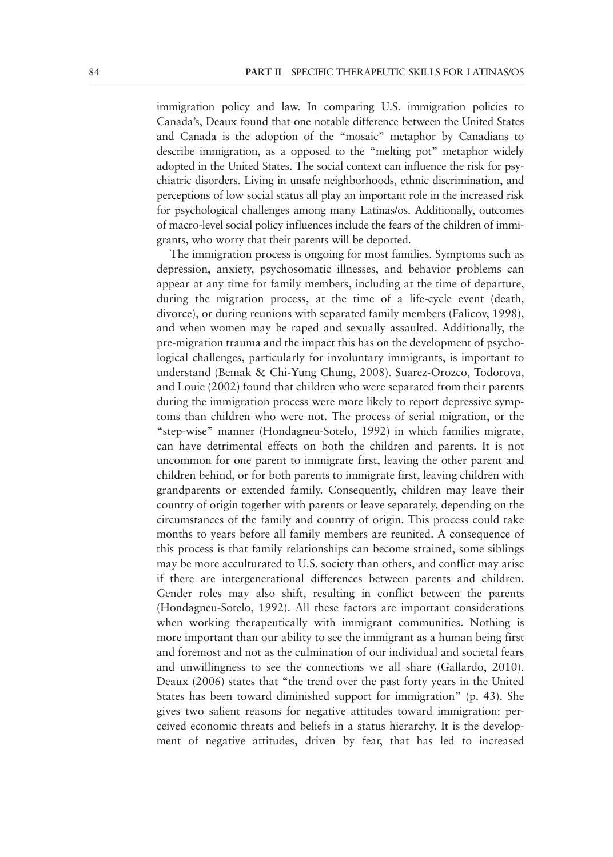immigration policy and law. In comparing U.S. immigration policies to Canada's, Deaux found that one notable difference between the United States and Canada is the adoption of the "mosaic" metaphor by Canadians to describe immigration, as a opposed to the "melting pot" metaphor widely adopted in the United States. The social context can influence the risk for psychiatric disorders. Living in unsafe neighborhoods, ethnic discrimination, and perceptions of low social status all play an important role in the increased risk for psychological challenges among many Latinas/os. Additionally, outcomes of macro-level social policy influences include the fears of the children of immigrants, who worry that their parents will be deported.

The immigration process is ongoing for most families. Symptoms such as depression, anxiety, psychosomatic illnesses, and behavior problems can appear at any time for family members, including at the time of departure, during the migration process, at the time of a life-cycle event (death, divorce), or during reunions with separated family members (Falicov, 1998), and when women may be raped and sexually assaulted. Additionally, the pre-migration trauma and the impact this has on the development of psychological challenges, particularly for involuntary immigrants, is important to understand (Bemak & Chi-Yung Chung, 2008). Suarez-Orozco, Todorova, and Louie (2002) found that children who were separated from their parents during the immigration process were more likely to report depressive symptoms than children who were not. The process of serial migration, or the "step-wise" manner (Hondagneu-Sotelo, 1992) in which families migrate, can have detrimental effects on both the children and parents. It is not uncommon for one parent to immigrate first, leaving the other parent and children behind, or for both parents to immigrate first, leaving children with grandparents or extended family. Consequently, children may leave their country of origin together with parents or leave separately, depending on the circumstances of the family and country of origin. This process could take months to years before all family members are reunited. A consequence of this process is that family relationships can become strained, some siblings may be more acculturated to U.S. society than others, and conflict may arise if there are intergenerational differences between parents and children. Gender roles may also shift, resulting in conflict between the parents (Hondagneu-Sotelo, 1992). All these factors are important considerations when working therapeutically with immigrant communities. Nothing is more important than our ability to see the immigrant as a human being first and foremost and not as the culmination of our individual and societal fears and unwillingness to see the connections we all share (Gallardo, 2010). Deaux (2006) states that "the trend over the past forty years in the United States has been toward diminished support for immigration" (p. 43). She gives two salient reasons for negative attitudes toward immigration: perceived economic threats and beliefs in a status hierarchy. It is the development of negative attitudes, driven by fear, that has led to increased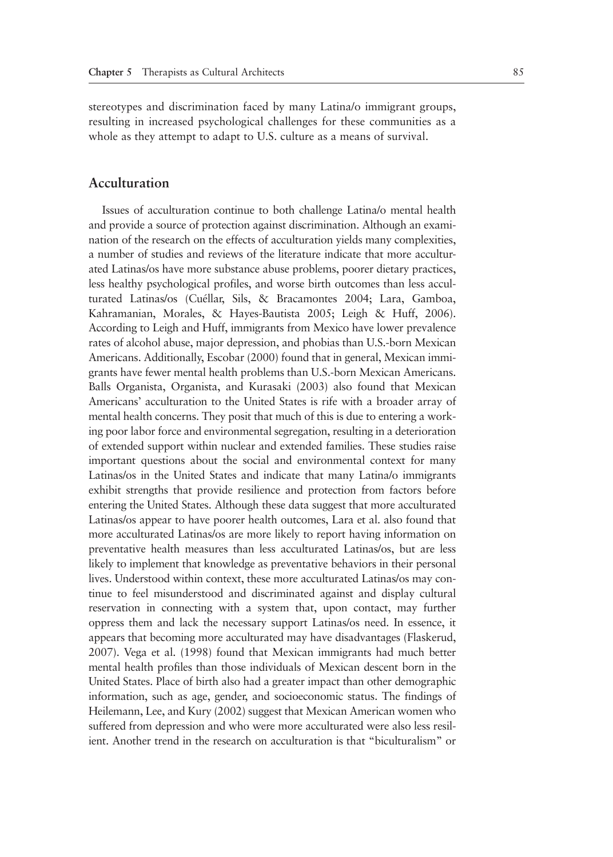stereotypes and discrimination faced by many Latina/o immigrant groups, resulting in increased psychological challenges for these communities as a whole as they attempt to adapt to U.S. culture as a means of survival.

#### **Acculturation**

Issues of acculturation continue to both challenge Latina/o mental health and provide a source of protection against discrimination. Although an examination of the research on the effects of acculturation yields many complexities, a number of studies and reviews of the literature indicate that more acculturated Latinas/os have more substance abuse problems, poorer dietary practices, less healthy psychological profiles, and worse birth outcomes than less acculturated Latinas/os (Cuéllar, Sils, & Bracamontes 2004; Lara, Gamboa, Kahramanian, Morales, & Hayes-Bautista 2005; Leigh & Huff, 2006). According to Leigh and Huff, immigrants from Mexico have lower prevalence rates of alcohol abuse, major depression, and phobias than U.S.-born Mexican Americans. Additionally, Escobar (2000) found that in general, Mexican immigrants have fewer mental health problems than U.S.-born Mexican Americans. Balls Organista, Organista, and Kurasaki (2003) also found that Mexican Americans' acculturation to the United States is rife with a broader array of mental health concerns. They posit that much of this is due to entering a working poor labor force and environmental segregation, resulting in a deterioration of extended support within nuclear and extended families. These studies raise important questions about the social and environmental context for many Latinas/os in the United States and indicate that many Latina/o immigrants exhibit strengths that provide resilience and protection from factors before entering the United States. Although these data suggest that more acculturated Latinas/os appear to have poorer health outcomes, Lara et al. also found that more acculturated Latinas/os are more likely to report having information on preventative health measures than less acculturated Latinas/os, but are less likely to implement that knowledge as preventative behaviors in their personal lives. Understood within context, these more acculturated Latinas/os may continue to feel misunderstood and discriminated against and display cultural reservation in connecting with a system that, upon contact, may further oppress them and lack the necessary support Latinas/os need. In essence, it appears that becoming more acculturated may have disadvantages (Flaskerud, 2007). Vega et al. (1998) found that Mexican immigrants had much better mental health profiles than those individuals of Mexican descent born in the United States. Place of birth also had a greater impact than other demographic information, such as age, gender, and socioeconomic status. The findings of Heilemann, Lee, and Kury (2002) suggest that Mexican American women who suffered from depression and who were more acculturated were also less resilient. Another trend in the research on acculturation is that "biculturalism" or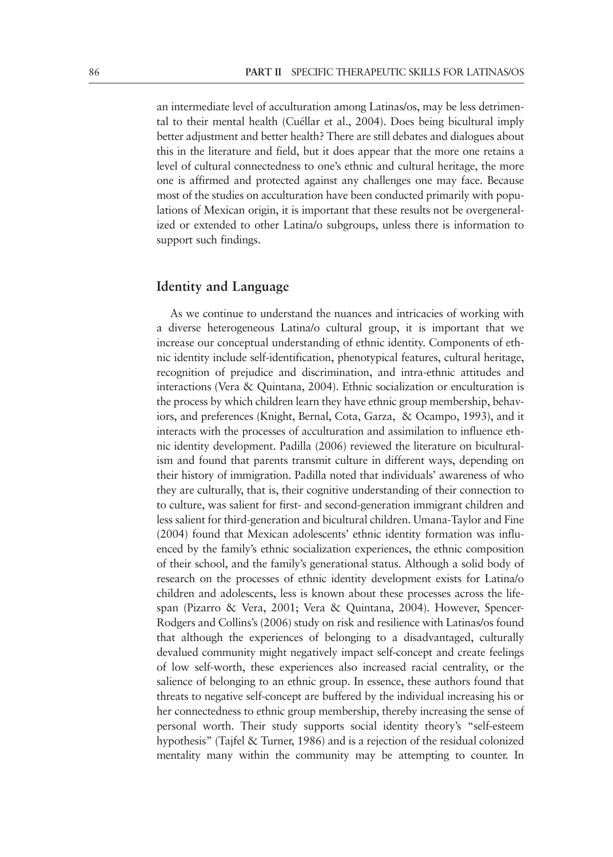an intermediate level of acculturation among Latinas/os, may be less detrimental to their mental health (Cuéllar et al., 2004). Does being bicultural imply better adjustment and better health? There are still debates and dialogues about this in the literature and field, but it does appear that the more one retains a level of cultural connectedness to one's ethnic and cultural heritage, the more one is affirmed and protected against any challenges one may face. Because most of the studies on acculturation have been conducted primarily with populations of Mexican origin, it is important that these results not be overgeneralized or extended to other Latina/o subgroups, unless there is information to support such findings.

#### **Identity and Language**

As we continue to understand the nuances and intricacies of working with a diverse heterogeneous Latina/o cultural group, it is important that we increase our conceptual understanding of ethnic identity. Components of ethnic identity include self-identification, phenotypical features, cultural heritage, recognition of prejudice and discrimination, and intra-ethnic attitudes and interactions (Vera & Quintana, 2004). Ethnic socialization or enculturation is the process by which children learn they have ethnic group membership, behaviors, and preferences (Knight, Bernal, Cota, Garza, & Ocampo, 1993), and it interacts with the processes of acculturation and assimilation to influence ethnic identity development. Padilla (2006) reviewed the literature on biculturalism and found that parents transmit culture in different ways, depending on their history of immigration. Padilla noted that individuals' awareness of who they are culturally, that is, their cognitive understanding of their connection to to culture, was salient for first- and second-generation immigrant children and less salient for third-generation and bicultural children. Umana-Taylor and Fine (2004) found that Mexican adolescents' ethnic identity formation was influenced by the family's ethnic socialization experiences, the ethnic composition of their school, and the family's generational status. Although a solid body of research on the processes of ethnic identity development exists for Latina/o children and adolescents, less is known about these processes across the lifespan (Pizarro & Vera, 2001; Vera & Quintana, 2004). However, Spencer-Rodgers and Collins's (2006) study on risk and resilience with Latinas/os found that although the experiences of belonging to a disadvantaged, culturally devalued community might negatively impact self-concept and create feelings of low self-worth, these experiences also increased racial centrality, or the salience of belonging to an ethnic group. In essence, these authors found that threats to negative self-concept are buffered by the individual increasing his or her connectedness to ethnic group membership, thereby increasing the sense of personal worth. Their study supports social identity theory's "self-esteem hypothesis" (Tajfel & Turner, 1986) and is a rejection of the residual colonized mentality many within the community may be attempting to counter. In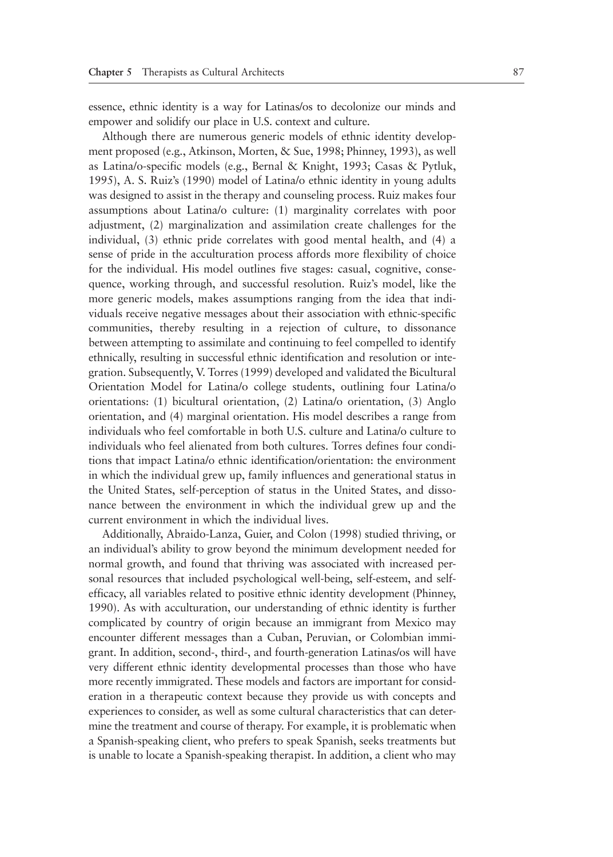essence, ethnic identity is a way for Latinas/os to decolonize our minds and empower and solidify our place in U.S. context and culture.

Although there are numerous generic models of ethnic identity development proposed (e.g., Atkinson, Morten, & Sue, 1998; Phinney, 1993), as well as Latina/o-specific models (e.g., Bernal & Knight, 1993; Casas & Pytluk, 1995), A. S. Ruiz's (1990) model of Latina/o ethnic identity in young adults was designed to assist in the therapy and counseling process. Ruiz makes four assumptions about Latina/o culture: (1) marginality correlates with poor adjustment, (2) marginalization and assimilation create challenges for the individual, (3) ethnic pride correlates with good mental health, and (4) a sense of pride in the acculturation process affords more flexibility of choice for the individual. His model outlines five stages: casual, cognitive, consequence, working through, and successful resolution. Ruiz's model, like the more generic models, makes assumptions ranging from the idea that individuals receive negative messages about their association with ethnic-specific communities, thereby resulting in a rejection of culture, to dissonance between attempting to assimilate and continuing to feel compelled to identify ethnically, resulting in successful ethnic identification and resolution or integration. Subsequently, V. Torres (1999) developed and validated the Bicultural Orientation Model for Latina/o college students, outlining four Latina/o orientations: (1) bicultural orientation, (2) Latina/o orientation, (3) Anglo orientation, and (4) marginal orientation. His model describes a range from individuals who feel comfortable in both U.S. culture and Latina/o culture to individuals who feel alienated from both cultures. Torres defines four conditions that impact Latina/o ethnic identification/orientation: the environment in which the individual grew up, family influences and generational status in the United States, self-perception of status in the United States, and dissonance between the environment in which the individual grew up and the current environment in which the individual lives.

Additionally, Abraido-Lanza, Guier, and Colon (1998) studied thriving, or an individual's ability to grow beyond the minimum development needed for normal growth, and found that thriving was associated with increased personal resources that included psychological well-being, self-esteem, and selfefficacy, all variables related to positive ethnic identity development (Phinney, 1990). As with acculturation, our understanding of ethnic identity is further complicated by country of origin because an immigrant from Mexico may encounter different messages than a Cuban, Peruvian, or Colombian immigrant. In addition, second-, third-, and fourth-generation Latinas/os will have very different ethnic identity developmental processes than those who have more recently immigrated. These models and factors are important for consideration in a therapeutic context because they provide us with concepts and experiences to consider, as well as some cultural characteristics that can determine the treatment and course of therapy. For example, it is problematic when a Spanish-speaking client, who prefers to speak Spanish, seeks treatments but is unable to locate a Spanish-speaking therapist. In addition, a client who may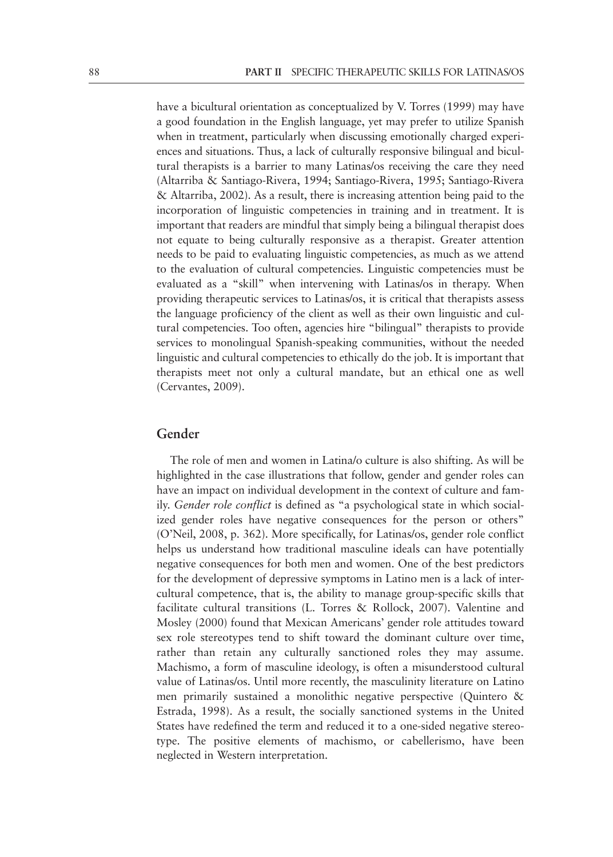have a bicultural orientation as conceptualized by V. Torres (1999) may have a good foundation in the English language, yet may prefer to utilize Spanish when in treatment, particularly when discussing emotionally charged experiences and situations. Thus, a lack of culturally responsive bilingual and bicultural therapists is a barrier to many Latinas/os receiving the care they need (Altarriba & Santiago-Rivera, 1994; Santiago-Rivera, 1995; Santiago-Rivera & Altarriba, 2002). As a result, there is increasing attention being paid to the incorporation of linguistic competencies in training and in treatment. It is important that readers are mindful that simply being a bilingual therapist does not equate to being culturally responsive as a therapist. Greater attention needs to be paid to evaluating linguistic competencies, as much as we attend to the evaluation of cultural competencies. Linguistic competencies must be evaluated as a "skill" when intervening with Latinas/os in therapy. When providing therapeutic services to Latinas/os, it is critical that therapists assess the language proficiency of the client as well as their own linguistic and cultural competencies. Too often, agencies hire "bilingual" therapists to provide services to monolingual Spanish-speaking communities, without the needed linguistic and cultural competencies to ethically do the job. It is important that therapists meet not only a cultural mandate, but an ethical one as well (Cervantes, 2009).

#### **Gender**

The role of men and women in Latina/o culture is also shifting. As will be highlighted in the case illustrations that follow, gender and gender roles can have an impact on individual development in the context of culture and family. *Gender role conflict* is defined as "a psychological state in which socialized gender roles have negative consequences for the person or others" (O'Neil, 2008, p. 362). More specifically, for Latinas/os, gender role conflict helps us understand how traditional masculine ideals can have potentially negative consequences for both men and women. One of the best predictors for the development of depressive symptoms in Latino men is a lack of intercultural competence, that is, the ability to manage group-specific skills that facilitate cultural transitions (L. Torres & Rollock, 2007). Valentine and Mosley (2000) found that Mexican Americans' gender role attitudes toward sex role stereotypes tend to shift toward the dominant culture over time, rather than retain any culturally sanctioned roles they may assume. Machismo, a form of masculine ideology, is often a misunderstood cultural value of Latinas/os. Until more recently, the masculinity literature on Latino men primarily sustained a monolithic negative perspective (Quintero & Estrada, 1998). As a result, the socially sanctioned systems in the United States have redefined the term and reduced it to a one-sided negative stereotype. The positive elements of machismo, or cabellerismo, have been neglected in Western interpretation.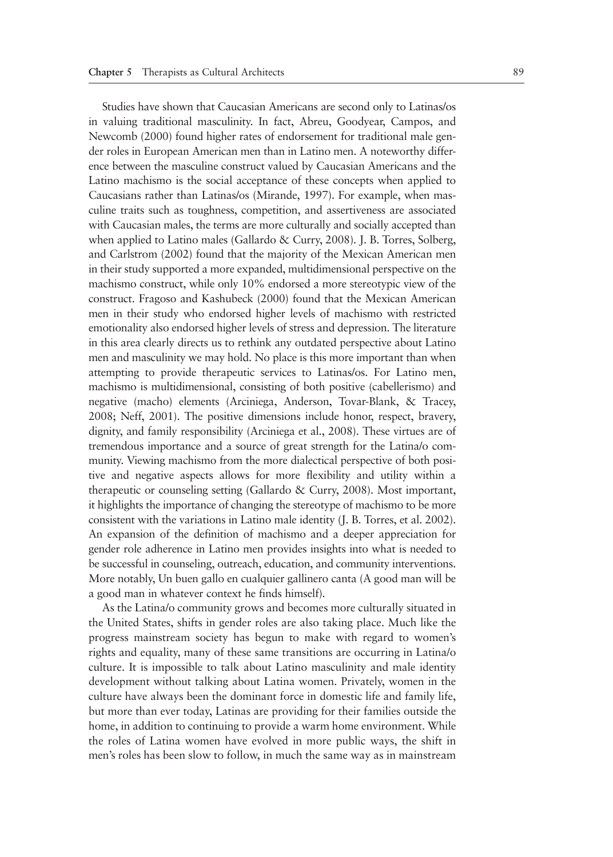Studies have shown that Caucasian Americans are second only to Latinas/os in valuing traditional masculinity. In fact, Abreu, Goodyear, Campos, and Newcomb (2000) found higher rates of endorsement for traditional male gender roles in European American men than in Latino men. A noteworthy difference between the masculine construct valued by Caucasian Americans and the Latino machismo is the social acceptance of these concepts when applied to Caucasians rather than Latinas/os (Mirande, 1997). For example, when masculine traits such as toughness, competition, and assertiveness are associated with Caucasian males, the terms are more culturally and socially accepted than when applied to Latino males (Gallardo & Curry, 2008). J. B. Torres, Solberg, and Carlstrom (2002) found that the majority of the Mexican American men in their study supported a more expanded, multidimensional perspective on the machismo construct, while only 10% endorsed a more stereotypic view of the construct. Fragoso and Kashubeck (2000) found that the Mexican American men in their study who endorsed higher levels of machismo with restricted emotionality also endorsed higher levels of stress and depression. The literature in this area clearly directs us to rethink any outdated perspective about Latino men and masculinity we may hold. No place is this more important than when attempting to provide therapeutic services to Latinas/os. For Latino men, machismo is multidimensional, consisting of both positive (cabellerismo) and negative (macho) elements (Arciniega, Anderson, Tovar-Blank, & Tracey, 2008; Neff, 2001). The positive dimensions include honor, respect, bravery, dignity, and family responsibility (Arciniega et al., 2008). These virtues are of tremendous importance and a source of great strength for the Latina/o community. Viewing machismo from the more dialectical perspective of both positive and negative aspects allows for more flexibility and utility within a therapeutic or counseling setting (Gallardo & Curry, 2008). Most important, it highlights the importance of changing the stereotype of machismo to be more consistent with the variations in Latino male identity (J. B. Torres, et al. 2002). An expansion of the definition of machismo and a deeper appreciation for gender role adherence in Latino men provides insights into what is needed to be successful in counseling, outreach, education, and community interventions. More notably, Un buen gallo en cualquier gallinero canta (A good man will be a good man in whatever context he finds himself).

As the Latina/o community grows and becomes more culturally situated in the United States, shifts in gender roles are also taking place. Much like the progress mainstream society has begun to make with regard to women's rights and equality, many of these same transitions are occurring in Latina/o culture. It is impossible to talk about Latino masculinity and male identity development without talking about Latina women. Privately, women in the culture have always been the dominant force in domestic life and family life, but more than ever today, Latinas are providing for their families outside the home, in addition to continuing to provide a warm home environment. While the roles of Latina women have evolved in more public ways, the shift in men's roles has been slow to follow, in much the same way as in mainstream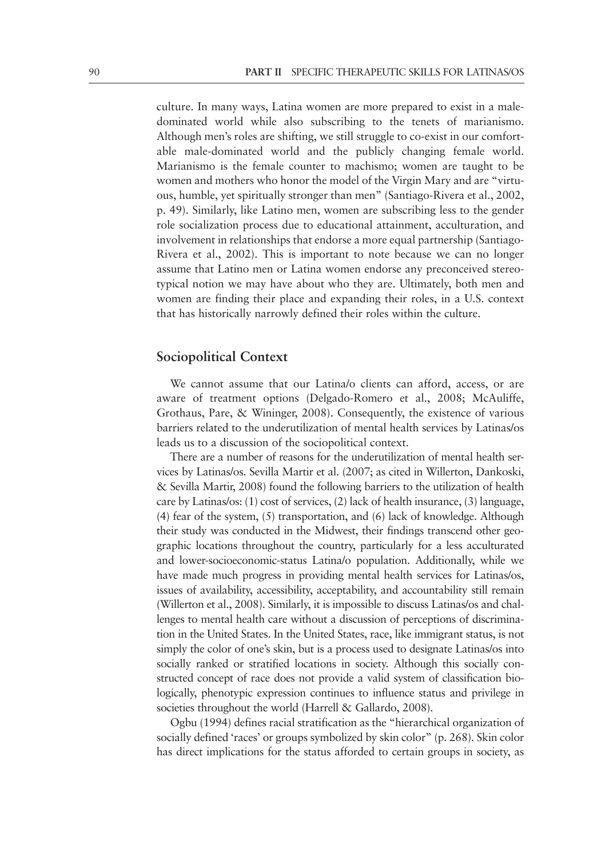culture. In many ways, Latina women are more prepared to exist in a maledominated world while also subscribing to the tenets of marianismo. Although men's roles are shifting, we still struggle to co-exist in our comfortable male-dominated world and the publicly changing female world. Marianismo is the female counter to machismo; women are taught to be women and mothers who honor the model of the Virgin Mary and are "virtuous, humble, yet spiritually stronger than men" (Santiago-Rivera et al., 2002, p. 49). Similarly, like Latino men, women are subscribing less to the gender role socialization process due to educational attainment, acculturation, and involvement in relationships that endorse a more equal partnership (Santiago-Rivera et al., 2002). This is important to note because we can no longer assume that Latino men or Latina women endorse any preconceived stereotypical notion we may have about who they are. Ultimately, both men and women are finding their place and expanding their roles, in a U.S. context that has historically narrowly defined their roles within the culture.

#### **Sociopolitical Context**

We cannot assume that our Latina/o clients can afford, access, or are aware of treatment options (Delgado-Romero et al., 2008; McAuliffe, Grothaus, Pare, & Wininger, 2008). Consequently, the existence of various barriers related to the underutilization of mental health services by Latinas/os leads us to a discussion of the sociopolitical context.

There are a number of reasons for the underutilization of mental health services by Latinas/os. Sevilla Martir et al. (2007; as cited in Willerton, Dankoski, & Sevilla Martir, 2008) found the following barriers to the utilization of health care by Latinas/os: (1) cost of services, (2) lack of health insurance, (3) language, (4) fear of the system, (5) transportation, and (6) lack of knowledge. Although their study was conducted in the Midwest, their findings transcend other geographic locations throughout the country, particularly for a less acculturated and lower-socioeconomic-status Latina/o population. Additionally, while we have made much progress in providing mental health services for Latinas/os, issues of availability, accessibility, acceptability, and accountability still remain (Willerton et al., 2008). Similarly, it is impossible to discuss Latinas/os and challenges to mental health care without a discussion of perceptions of discrimination in the United States. In the United States, race, like immigrant status, is not simply the color of one's skin, but is a process used to designate Latinas/os into socially ranked or stratified locations in society. Although this socially constructed concept of race does not provide a valid system of classification biologically, phenotypic expression continues to influence status and privilege in societies throughout the world (Harrell & Gallardo, 2008).

Ogbu (1994) defines racial stratification as the "hierarchical organization of socially defined 'races' or groups symbolized by skin color" (p. 268). Skin color has direct implications for the status afforded to certain groups in society, as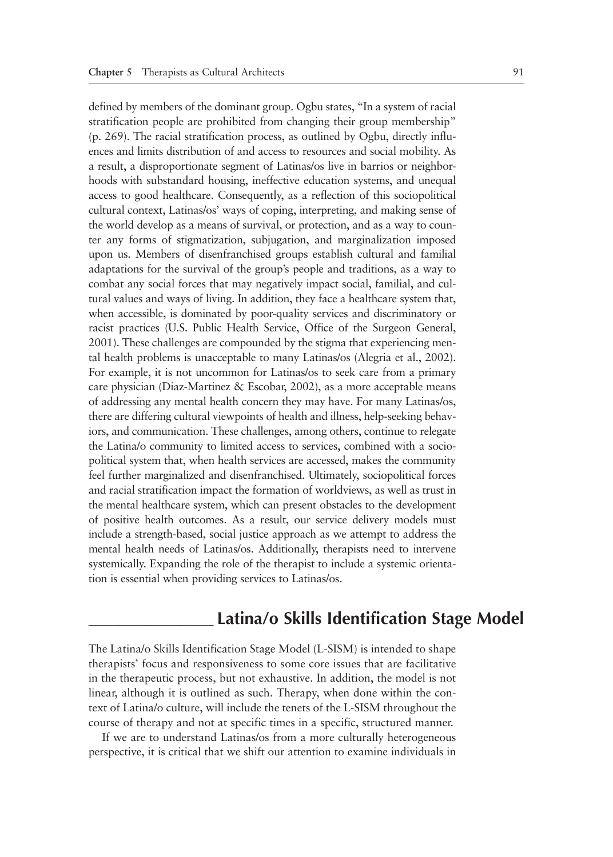defined by members of the dominant group. Ogbu states, "In a system of racial stratification people are prohibited from changing their group membership" (p. 269). The racial stratification process, as outlined by Ogbu, directly influences and limits distribution of and access to resources and social mobility. As a result, a disproportionate segment of Latinas/os live in barrios or neighborhoods with substandard housing, ineffective education systems, and unequal access to good healthcare. Consequently, as a reflection of this sociopolitical cultural context, Latinas/os' ways of coping, interpreting, and making sense of the world develop as a means of survival, or protection, and as a way to counter any forms of stigmatization, subjugation, and marginalization imposed upon us. Members of disenfranchised groups establish cultural and familial adaptations for the survival of the group's people and traditions, as a way to combat any social forces that may negatively impact social, familial, and cultural values and ways of living. In addition, they face a healthcare system that, when accessible, is dominated by poor-quality services and discriminatory or racist practices (U.S. Public Health Service, Office of the Surgeon General, 2001). These challenges are compounded by the stigma that experiencing mental health problems is unacceptable to many Latinas/os (Alegria et al., 2002). For example, it is not uncommon for Latinas/os to seek care from a primary care physician (Diaz-Martinez & Escobar, 2002), as a more acceptable means of addressing any mental health concern they may have. For many Latinas/os, there are differing cultural viewpoints of health and illness, help-seeking behaviors, and communication. These challenges, among others, continue to relegate the Latina/o community to limited access to services, combined with a sociopolitical system that, when health services are accessed, makes the community feel further marginalized and disenfranchised. Ultimately, sociopolitical forces and racial stratification impact the formation of worldviews, as well as trust in the mental healthcare system, which can present obstacles to the development of positive health outcomes. As a result, our service delivery models must include a strength-based, social justice approach as we attempt to address the mental health needs of Latinas/os. Additionally, therapists need to intervene systemically. Expanding the role of the therapist to include a systemic orientation is essential when providing services to Latinas/os.

## **\_\_\_\_\_\_\_\_\_\_\_\_\_\_\_ Latina/o Skills Identification Stage Model**

The Latina/o Skills Identification Stage Model (L-SISM) is intended to shape therapists' focus and responsiveness to some core issues that are facilitative in the therapeutic process, but not exhaustive. In addition, the model is not linear, although it is outlined as such. Therapy, when done within the context of Latina/o culture, will include the tenets of the L-SISM throughout the course of therapy and not at specific times in a specific, structured manner.

If we are to understand Latinas/os from a more culturally heterogeneous perspective, it is critical that we shift our attention to examine individuals in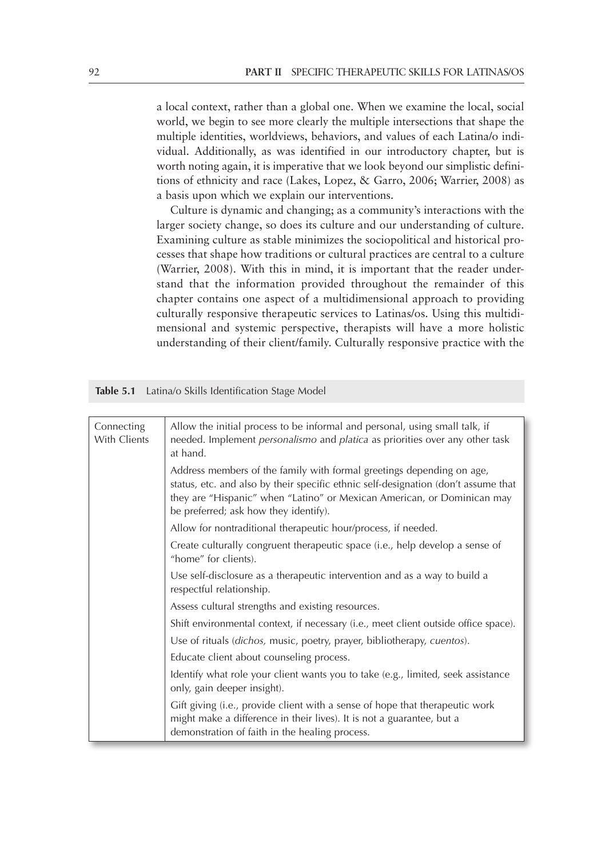a local context, rather than a global one. When we examine the local, social world, we begin to see more clearly the multiple intersections that shape the multiple identities, worldviews, behaviors, and values of each Latina/o individual. Additionally, as was identified in our introductory chapter, but is worth noting again, it is imperative that we look beyond our simplistic definitions of ethnicity and race (Lakes, Lopez, & Garro, 2006; Warrier, 2008) as a basis upon which we explain our interventions.

Culture is dynamic and changing; as a community's interactions with the larger society change, so does its culture and our understanding of culture. Examining culture as stable minimizes the sociopolitical and historical processes that shape how traditions or cultural practices are central to a culture (Warrier, 2008). With this in mind, it is important that the reader understand that the information provided throughout the remainder of this chapter contains one aspect of a multidimensional approach to providing culturally responsive therapeutic services to Latinas/os. Using this multidimensional and systemic perspective, therapists will have a more holistic understanding of their client/family. Culturally responsive practice with the

**Table 5.1** Latina/o Skills Identification Stage Model

| Connecting<br>With Clients | Allow the initial process to be informal and personal, using small talk, if<br>needed. Implement personalismo and platica as priorities over any other task<br>at hand.                                                                                                         |
|----------------------------|---------------------------------------------------------------------------------------------------------------------------------------------------------------------------------------------------------------------------------------------------------------------------------|
|                            | Address members of the family with formal greetings depending on age,<br>status, etc. and also by their specific ethnic self-designation (don't assume that<br>they are "Hispanic" when "Latino" or Mexican American, or Dominican may<br>be preferred; ask how they identify). |
|                            | Allow for nontraditional therapeutic hour/process, if needed.                                                                                                                                                                                                                   |
|                            | Create culturally congruent therapeutic space (i.e., help develop a sense of<br>"home" for clients).                                                                                                                                                                            |
|                            | Use self-disclosure as a therapeutic intervention and as a way to build a<br>respectful relationship.                                                                                                                                                                           |
|                            | Assess cultural strengths and existing resources.                                                                                                                                                                                                                               |
|                            | Shift environmental context, if necessary (i.e., meet client outside office space).                                                                                                                                                                                             |
|                            | Use of rituals (dichos, music, poetry, prayer, bibliotherapy, cuentos).                                                                                                                                                                                                         |
|                            | Educate client about counseling process.                                                                                                                                                                                                                                        |
|                            | Identify what role your client wants you to take (e.g., limited, seek assistance<br>only, gain deeper insight).                                                                                                                                                                 |
|                            | Gift giving (i.e., provide client with a sense of hope that therapeutic work<br>might make a difference in their lives). It is not a guarantee, but a<br>demonstration of faith in the healing process.                                                                         |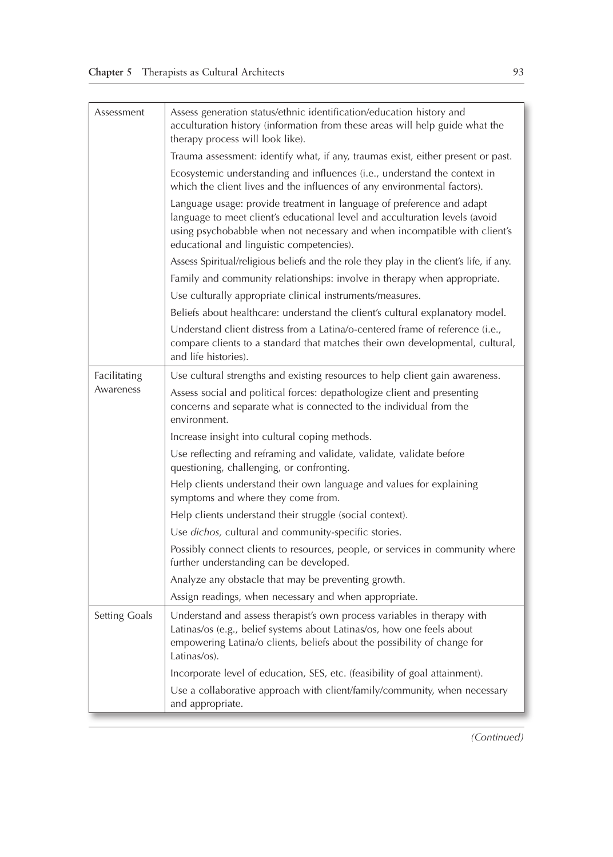| Assessment    | Assess generation status/ethnic identification/education history and<br>acculturation history (information from these areas will help guide what the<br>therapy process will look like).                                                                                       |
|---------------|--------------------------------------------------------------------------------------------------------------------------------------------------------------------------------------------------------------------------------------------------------------------------------|
|               | Trauma assessment: identify what, if any, traumas exist, either present or past.                                                                                                                                                                                               |
|               | Ecosystemic understanding and influences (i.e., understand the context in<br>which the client lives and the influences of any environmental factors).                                                                                                                          |
|               | Language usage: provide treatment in language of preference and adapt<br>language to meet client's educational level and acculturation levels (avoid<br>using psychobabble when not necessary and when incompatible with client's<br>educational and linguistic competencies). |
|               | Assess Spiritual/religious beliefs and the role they play in the client's life, if any.                                                                                                                                                                                        |
|               | Family and community relationships: involve in therapy when appropriate.                                                                                                                                                                                                       |
|               | Use culturally appropriate clinical instruments/measures.                                                                                                                                                                                                                      |
|               | Beliefs about healthcare: understand the client's cultural explanatory model.                                                                                                                                                                                                  |
|               | Understand client distress from a Latina/o-centered frame of reference (i.e.,<br>compare clients to a standard that matches their own developmental, cultural,<br>and life histories).                                                                                         |
| Facilitating  | Use cultural strengths and existing resources to help client gain awareness.                                                                                                                                                                                                   |
| Awareness     | Assess social and political forces: depathologize client and presenting<br>concerns and separate what is connected to the individual from the<br>environment.                                                                                                                  |
|               | Increase insight into cultural coping methods.                                                                                                                                                                                                                                 |
|               | Use reflecting and reframing and validate, validate, validate before<br>questioning, challenging, or confronting.                                                                                                                                                              |
|               | Help clients understand their own language and values for explaining<br>symptoms and where they come from.                                                                                                                                                                     |
|               | Help clients understand their struggle (social context).                                                                                                                                                                                                                       |
|               | Use dichos, cultural and community-specific stories.                                                                                                                                                                                                                           |
|               | Possibly connect clients to resources, people, or services in community where<br>further understanding can be developed.                                                                                                                                                       |
|               | Analyze any obstacle that may be preventing growth.                                                                                                                                                                                                                            |
|               | Assign readings, when necessary and when appropriate.                                                                                                                                                                                                                          |
| Setting Goals | Understand and assess therapist's own process variables in therapy with<br>Latinas/os (e.g., belief systems about Latinas/os, how one feels about<br>empowering Latina/o clients, beliefs about the possibility of change for<br>Latinas/os).                                  |
|               | Incorporate level of education, SES, etc. (feasibility of goal attainment).                                                                                                                                                                                                    |
|               | Use a collaborative approach with client/family/community, when necessary<br>and appropriate.                                                                                                                                                                                  |

*(Continued)*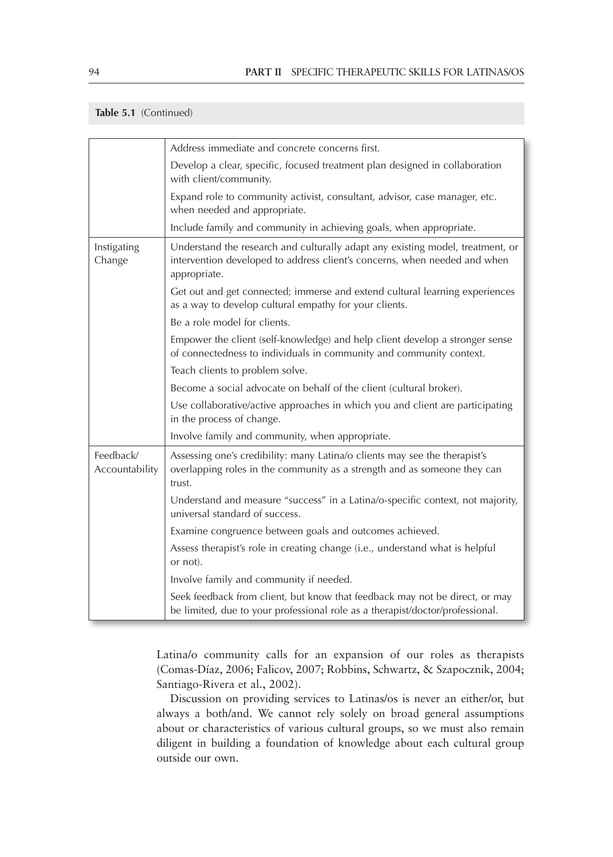#### **Table 5.1** (Continued)

|                             | Address immediate and concrete concerns first.                                                                                                                              |
|-----------------------------|-----------------------------------------------------------------------------------------------------------------------------------------------------------------------------|
|                             | Develop a clear, specific, focused treatment plan designed in collaboration<br>with client/community.                                                                       |
|                             | Expand role to community activist, consultant, advisor, case manager, etc.<br>when needed and appropriate.                                                                  |
|                             | Include family and community in achieving goals, when appropriate.                                                                                                          |
| Instigating<br>Change       | Understand the research and culturally adapt any existing model, treatment, or<br>intervention developed to address client's concerns, when needed and when<br>appropriate. |
|                             | Get out and get connected; immerse and extend cultural learning experiences<br>as a way to develop cultural empathy for your clients.                                       |
|                             | Be a role model for clients.                                                                                                                                                |
|                             | Empower the client (self-knowledge) and help client develop a stronger sense<br>of connectedness to individuals in community and community context.                         |
|                             | Teach clients to problem solve.                                                                                                                                             |
|                             | Become a social advocate on behalf of the client (cultural broker).                                                                                                         |
|                             | Use collaborative/active approaches in which you and client are participating<br>in the process of change.                                                                  |
|                             | Involve family and community, when appropriate.                                                                                                                             |
| Feedback/<br>Accountability | Assessing one's credibility: many Latina/o clients may see the therapist's<br>overlapping roles in the community as a strength and as someone they can<br>trust.            |
|                             | Understand and measure "success" in a Latina/o-specific context, not majority,<br>universal standard of success.                                                            |
|                             | Examine congruence between goals and outcomes achieved.                                                                                                                     |
|                             | Assess therapist's role in creating change (i.e., understand what is helpful<br>or not).                                                                                    |
|                             | Involve family and community if needed.                                                                                                                                     |
|                             | Seek feedback from client, but know that feedback may not be direct, or may<br>be limited, due to your professional role as a therapist/doctor/professional.                |

Latina/o community calls for an expansion of our roles as therapists (Comas-Díaz, 2006; Falicov, 2007; Robbins, Schwartz, & Szapocznik, 2004; Santiago-Rivera et al., 2002).

Discussion on providing services to Latinas/os is never an either/or, but always a both/and. We cannot rely solely on broad general assumptions about or characteristics of various cultural groups, so we must also remain diligent in building a foundation of knowledge about each cultural group outside our own.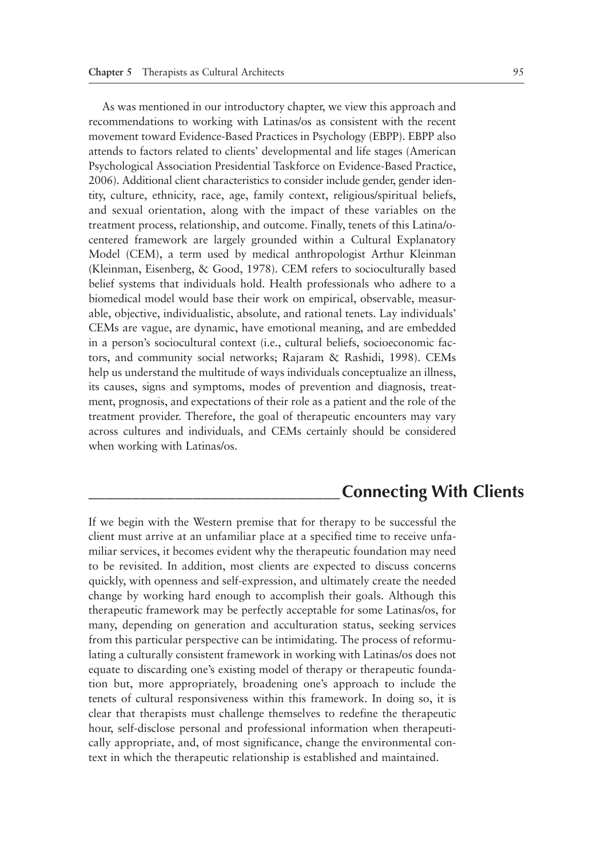As was mentioned in our introductory chapter, we view this approach and recommendations to working with Latinas/os as consistent with the recent movement toward Evidence-Based Practices in Psychology (EBPP). EBPP also attends to factors related to clients' developmental and life stages (American Psychological Association Presidential Taskforce on Evidence-Based Practice, 2006). Additional client characteristics to consider include gender, gender identity, culture, ethnicity, race, age, family context, religious/spiritual beliefs, and sexual orientation, along with the impact of these variables on the treatment process, relationship, and outcome. Finally, tenets of this Latina/ocentered framework are largely grounded within a Cultural Explanatory Model (CEM), a term used by medical anthropologist Arthur Kleinman (Kleinman, Eisenberg, & Good, 1978). CEM refers to socioculturally based belief systems that individuals hold. Health professionals who adhere to a biomedical model would base their work on empirical, observable, measurable, objective, individualistic, absolute, and rational tenets. Lay individuals' CEMs are vague, are dynamic, have emotional meaning, and are embedded in a person's sociocultural context (i.e., cultural beliefs, socioeconomic factors, and community social networks; Rajaram & Rashidi, 1998). CEMs help us understand the multitude of ways individuals conceptualize an illness, its causes, signs and symptoms, modes of prevention and diagnosis, treatment, prognosis, and expectations of their role as a patient and the role of the treatment provider. Therefore, the goal of therapeutic encounters may vary across cultures and individuals, and CEMs certainly should be considered when working with Latinas/os.

## **\_\_\_\_\_\_\_\_\_\_\_\_\_\_\_\_\_\_\_\_\_\_\_\_\_\_\_\_\_Connecting With Clients**

If we begin with the Western premise that for therapy to be successful the client must arrive at an unfamiliar place at a specified time to receive unfamiliar services, it becomes evident why the therapeutic foundation may need to be revisited. In addition, most clients are expected to discuss concerns quickly, with openness and self-expression, and ultimately create the needed change by working hard enough to accomplish their goals. Although this therapeutic framework may be perfectly acceptable for some Latinas/os, for many, depending on generation and acculturation status, seeking services from this particular perspective can be intimidating. The process of reformulating a culturally consistent framework in working with Latinas/os does not equate to discarding one's existing model of therapy or therapeutic foundation but, more appropriately, broadening one's approach to include the tenets of cultural responsiveness within this framework. In doing so, it is clear that therapists must challenge themselves to redefine the therapeutic hour, self-disclose personal and professional information when therapeutically appropriate, and, of most significance, change the environmental context in which the therapeutic relationship is established and maintained.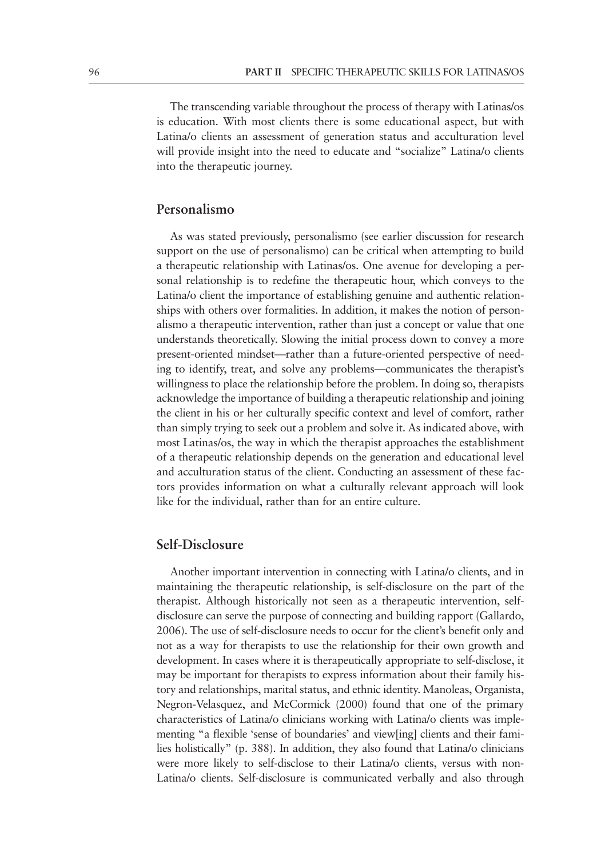The transcending variable throughout the process of therapy with Latinas/os is education. With most clients there is some educational aspect, but with Latina/o clients an assessment of generation status and acculturation level will provide insight into the need to educate and "socialize" Latina/o clients into the therapeutic journey.

#### **Personalismo**

As was stated previously, personalismo (see earlier discussion for research support on the use of personalismo) can be critical when attempting to build a therapeutic relationship with Latinas/os. One avenue for developing a personal relationship is to redefine the therapeutic hour, which conveys to the Latina/o client the importance of establishing genuine and authentic relationships with others over formalities. In addition, it makes the notion of personalismo a therapeutic intervention, rather than just a concept or value that one understands theoretically. Slowing the initial process down to convey a more present-oriented mindset—rather than a future-oriented perspective of needing to identify, treat, and solve any problems—communicates the therapist's willingness to place the relationship before the problem. In doing so, therapists acknowledge the importance of building a therapeutic relationship and joining the client in his or her culturally specific context and level of comfort, rather than simply trying to seek out a problem and solve it. As indicated above, with most Latinas/os, the way in which the therapist approaches the establishment of a therapeutic relationship depends on the generation and educational level and acculturation status of the client. Conducting an assessment of these factors provides information on what a culturally relevant approach will look like for the individual, rather than for an entire culture.

#### **Self-Disclosure**

Another important intervention in connecting with Latina/o clients, and in maintaining the therapeutic relationship, is self-disclosure on the part of the therapist. Although historically not seen as a therapeutic intervention, selfdisclosure can serve the purpose of connecting and building rapport (Gallardo, 2006). The use of self-disclosure needs to occur for the client's benefit only and not as a way for therapists to use the relationship for their own growth and development. In cases where it is therapeutically appropriate to self-disclose, it may be important for therapists to express information about their family history and relationships, marital status, and ethnic identity. Manoleas, Organista, Negron-Velasquez, and McCormick (2000) found that one of the primary characteristics of Latina/o clinicians working with Latina/o clients was implementing "a flexible 'sense of boundaries' and view[ing] clients and their families holistically" (p. 388). In addition, they also found that Latina/o clinicians were more likely to self-disclose to their Latina/o clients, versus with non-Latina/o clients. Self-disclosure is communicated verbally and also through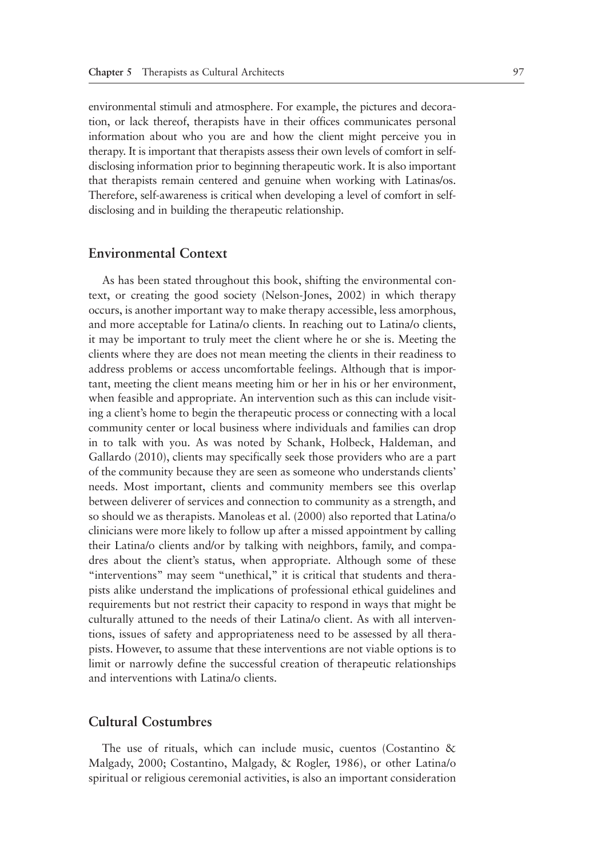environmental stimuli and atmosphere. For example, the pictures and decoration, or lack thereof, therapists have in their offices communicates personal information about who you are and how the client might perceive you in therapy. It is important that therapists assess their own levels of comfort in selfdisclosing information prior to beginning therapeutic work. It is also important that therapists remain centered and genuine when working with Latinas/os. Therefore, self-awareness is critical when developing a level of comfort in selfdisclosing and in building the therapeutic relationship.

#### **Environmental Context**

As has been stated throughout this book, shifting the environmental context, or creating the good society (Nelson-Jones, 2002) in which therapy occurs, is another important way to make therapy accessible, less amorphous, and more acceptable for Latina/o clients. In reaching out to Latina/o clients, it may be important to truly meet the client where he or she is. Meeting the clients where they are does not mean meeting the clients in their readiness to address problems or access uncomfortable feelings. Although that is important, meeting the client means meeting him or her in his or her environment, when feasible and appropriate. An intervention such as this can include visiting a client's home to begin the therapeutic process or connecting with a local community center or local business where individuals and families can drop in to talk with you. As was noted by Schank, Holbeck, Haldeman, and Gallardo (2010), clients may specifically seek those providers who are a part of the community because they are seen as someone who understands clients' needs. Most important, clients and community members see this overlap between deliverer of services and connection to community as a strength, and so should we as therapists. Manoleas et al. (2000) also reported that Latina/o clinicians were more likely to follow up after a missed appointment by calling their Latina/o clients and/or by talking with neighbors, family, and compadres about the client's status, when appropriate. Although some of these "interventions" may seem "unethical," it is critical that students and therapists alike understand the implications of professional ethical guidelines and requirements but not restrict their capacity to respond in ways that might be culturally attuned to the needs of their Latina/o client. As with all interventions, issues of safety and appropriateness need to be assessed by all therapists. However, to assume that these interventions are not viable options is to limit or narrowly define the successful creation of therapeutic relationships and interventions with Latina/o clients.

#### **Cultural Costumbres**

The use of rituals, which can include music, cuentos (Costantino & Malgady, 2000; Costantino, Malgady, & Rogler, 1986), or other Latina/o spiritual or religious ceremonial activities, is also an important consideration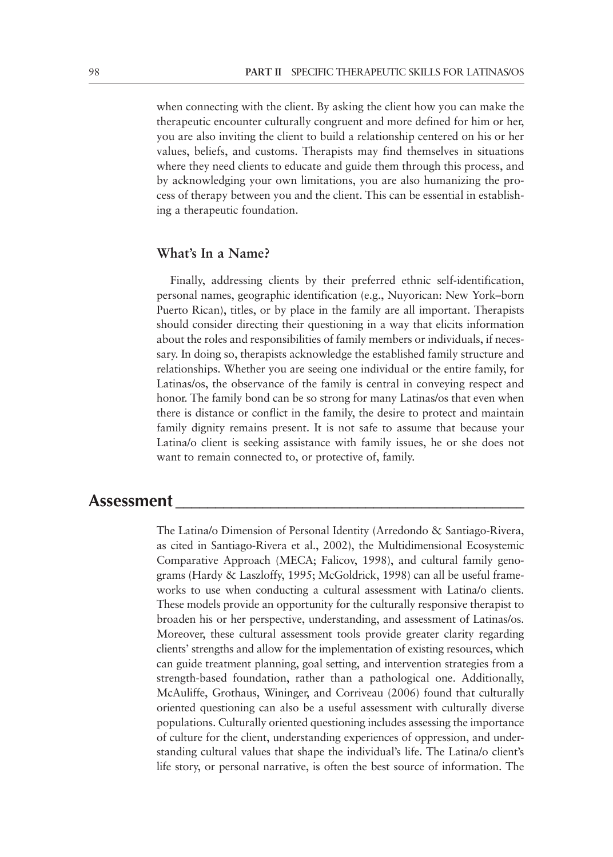when connecting with the client. By asking the client how you can make the therapeutic encounter culturally congruent and more defined for him or her, you are also inviting the client to build a relationship centered on his or her values, beliefs, and customs. Therapists may find themselves in situations where they need clients to educate and guide them through this process, and by acknowledging your own limitations, you are also humanizing the process of therapy between you and the client. This can be essential in establishing a therapeutic foundation.

#### **What's In a Name?**

Finally, addressing clients by their preferred ethnic self-identification, personal names, geographic identification (e.g., Nuyorican: New York–born Puerto Rican), titles, or by place in the family are all important. Therapists should consider directing their questioning in a way that elicits information about the roles and responsibilities of family members or individuals, if necessary. In doing so, therapists acknowledge the established family structure and relationships. Whether you are seeing one individual or the entire family, for Latinas/os, the observance of the family is central in conveying respect and honor. The family bond can be so strong for many Latinas/os that even when there is distance or conflict in the family, the desire to protect and maintain family dignity remains present. It is not safe to assume that because your Latina/o client is seeking assistance with family issues, he or she does not want to remain connected to, or protective of, family.

#### **Assessment \_\_\_\_\_\_\_\_\_\_\_\_\_\_\_\_\_\_\_\_\_\_\_\_\_\_\_\_\_\_\_\_\_\_\_\_\_\_\_\_\_\_\_\_**

The Latina/o Dimension of Personal Identity (Arredondo & Santiago-Rivera, as cited in Santiago-Rivera et al., 2002), the Multidimensional Ecosystemic Comparative Approach (MECA; Falicov, 1998), and cultural family genograms (Hardy & Laszloffy, 1995; McGoldrick, 1998) can all be useful frameworks to use when conducting a cultural assessment with Latina/o clients. These models provide an opportunity for the culturally responsive therapist to broaden his or her perspective, understanding, and assessment of Latinas/os. Moreover, these cultural assessment tools provide greater clarity regarding clients' strengths and allow for the implementation of existing resources, which can guide treatment planning, goal setting, and intervention strategies from a strength-based foundation, rather than a pathological one. Additionally, McAuliffe, Grothaus, Wininger, and Corriveau (2006) found that culturally oriented questioning can also be a useful assessment with culturally diverse populations. Culturally oriented questioning includes assessing the importance of culture for the client, understanding experiences of oppression, and understanding cultural values that shape the individual's life. The Latina/o client's life story, or personal narrative, is often the best source of information. The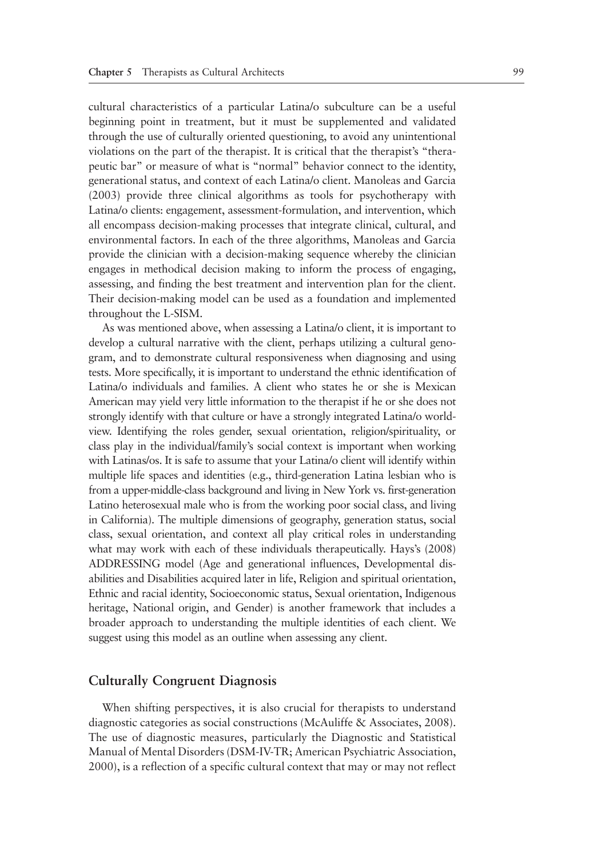cultural characteristics of a particular Latina/o subculture can be a useful beginning point in treatment, but it must be supplemented and validated through the use of culturally oriented questioning, to avoid any unintentional violations on the part of the therapist. It is critical that the therapist's "therapeutic bar" or measure of what is "normal" behavior connect to the identity, generational status, and context of each Latina/o client. Manoleas and Garcia (2003) provide three clinical algorithms as tools for psychotherapy with Latina/o clients: engagement, assessment-formulation, and intervention, which all encompass decision-making processes that integrate clinical, cultural, and environmental factors. In each of the three algorithms, Manoleas and Garcia provide the clinician with a decision-making sequence whereby the clinician engages in methodical decision making to inform the process of engaging, assessing, and finding the best treatment and intervention plan for the client. Their decision-making model can be used as a foundation and implemented throughout the L-SISM.

As was mentioned above, when assessing a Latina/o client, it is important to develop a cultural narrative with the client, perhaps utilizing a cultural genogram, and to demonstrate cultural responsiveness when diagnosing and using tests. More specifically, it is important to understand the ethnic identification of Latina/o individuals and families. A client who states he or she is Mexican American may yield very little information to the therapist if he or she does not strongly identify with that culture or have a strongly integrated Latina/o worldview. Identifying the roles gender, sexual orientation, religion/spirituality, or class play in the individual/family's social context is important when working with Latinas/os. It is safe to assume that your Latina/o client will identify within multiple life spaces and identities (e.g., third-generation Latina lesbian who is from a upper-middle-class background and living in New York vs. first-generation Latino heterosexual male who is from the working poor social class, and living in California). The multiple dimensions of geography, generation status, social class, sexual orientation, and context all play critical roles in understanding what may work with each of these individuals therapeutically. Hays's (2008) ADDRESSING model (Age and generational influences, Developmental disabilities and Disabilities acquired later in life, Religion and spiritual orientation, Ethnic and racial identity, Socioeconomic status, Sexual orientation, Indigenous heritage, National origin, and Gender) is another framework that includes a broader approach to understanding the multiple identities of each client. We suggest using this model as an outline when assessing any client.

#### **Culturally Congruent Diagnosis**

When shifting perspectives, it is also crucial for therapists to understand diagnostic categories as social constructions (McAuliffe & Associates, 2008). The use of diagnostic measures, particularly the Diagnostic and Statistical Manual of Mental Disorders (DSM-IV-TR; American Psychiatric Association, 2000), is a reflection of a specific cultural context that may or may not reflect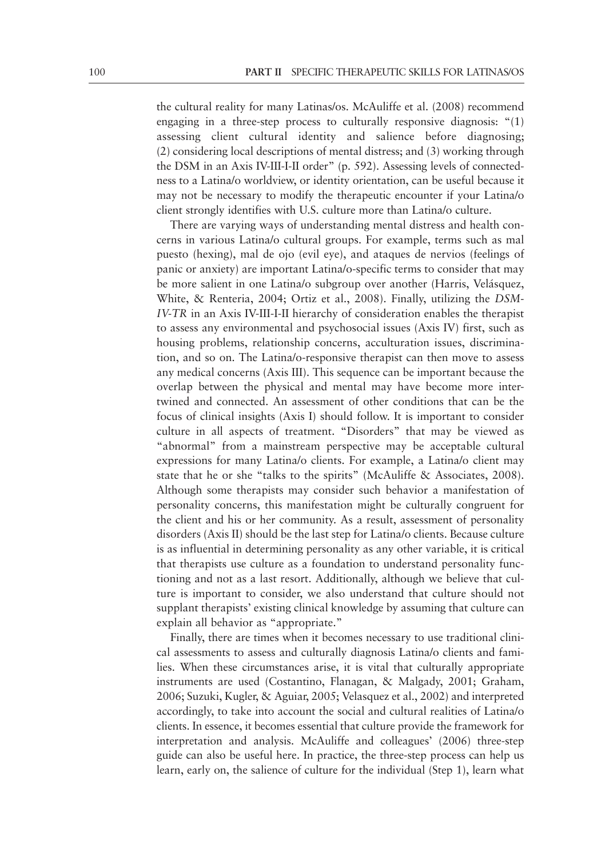the cultural reality for many Latinas/os. McAuliffe et al. (2008) recommend engaging in a three-step process to culturally responsive diagnosis: "(1) assessing client cultural identity and salience before diagnosing; (2) considering local descriptions of mental distress; and (3) working through the DSM in an Axis IV-III-I-II order" (p. 592). Assessing levels of connectedness to a Latina/o worldview, or identity orientation, can be useful because it may not be necessary to modify the therapeutic encounter if your Latina/o client strongly identifies with U.S. culture more than Latina/o culture.

There are varying ways of understanding mental distress and health concerns in various Latina/o cultural groups. For example, terms such as mal puesto (hexing), mal de ojo (evil eye), and ataques de nervios (feelings of panic or anxiety) are important Latina/o-specific terms to consider that may be more salient in one Latina/o subgroup over another (Harris, Velásquez, White, & Renteria, 2004; Ortiz et al., 2008). Finally, utilizing the *DSM-IV-TR* in an Axis IV-III-I-II hierarchy of consideration enables the therapist to assess any environmental and psychosocial issues (Axis IV) first, such as housing problems, relationship concerns, acculturation issues, discrimination, and so on. The Latina/o-responsive therapist can then move to assess any medical concerns (Axis III). This sequence can be important because the overlap between the physical and mental may have become more intertwined and connected. An assessment of other conditions that can be the focus of clinical insights (Axis I) should follow. It is important to consider culture in all aspects of treatment. "Disorders" that may be viewed as "abnormal" from a mainstream perspective may be acceptable cultural expressions for many Latina/o clients. For example, a Latina/o client may state that he or she "talks to the spirits" (McAuliffe & Associates, 2008). Although some therapists may consider such behavior a manifestation of personality concerns, this manifestation might be culturally congruent for the client and his or her community. As a result, assessment of personality disorders (Axis II) should be the last step for Latina/o clients. Because culture is as influential in determining personality as any other variable, it is critical that therapists use culture as a foundation to understand personality functioning and not as a last resort. Additionally, although we believe that culture is important to consider, we also understand that culture should not supplant therapists' existing clinical knowledge by assuming that culture can explain all behavior as "appropriate."

Finally, there are times when it becomes necessary to use traditional clinical assessments to assess and culturally diagnosis Latina/o clients and families. When these circumstances arise, it is vital that culturally appropriate instruments are used (Costantino, Flanagan, & Malgady, 2001; Graham, 2006; Suzuki, Kugler, & Aguiar, 2005; Velasquez et al., 2002) and interpreted accordingly, to take into account the social and cultural realities of Latina/o clients. In essence, it becomes essential that culture provide the framework for interpretation and analysis. McAuliffe and colleagues' (2006) three-step guide can also be useful here. In practice, the three-step process can help us learn, early on, the salience of culture for the individual (Step 1), learn what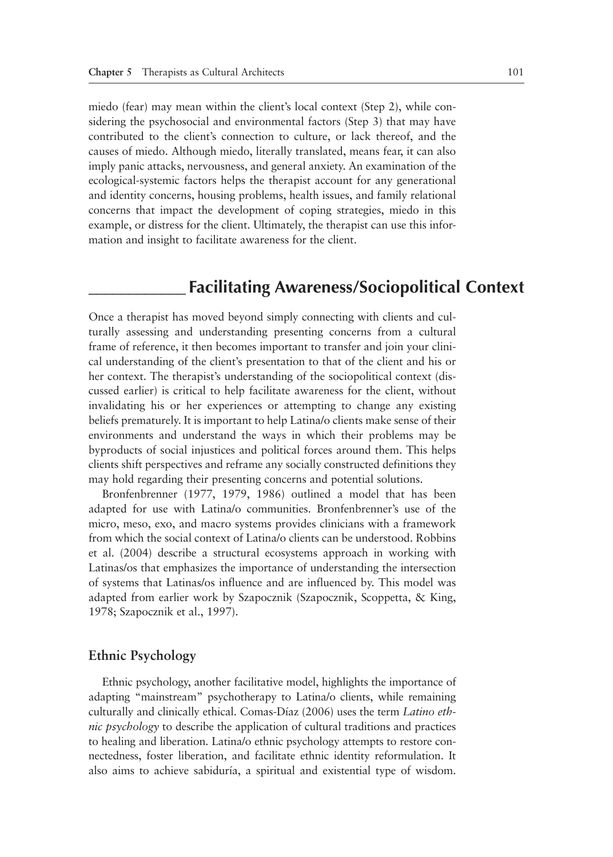miedo (fear) may mean within the client's local context (Step 2), while considering the psychosocial and environmental factors (Step 3) that may have contributed to the client's connection to culture, or lack thereof, and the causes of miedo. Although miedo, literally translated, means fear, it can also imply panic attacks, nervousness, and general anxiety. An examination of the ecological-systemic factors helps the therapist account for any generational and identity concerns, housing problems, health issues, and family relational concerns that impact the development of coping strategies, miedo in this example, or distress for the client. Ultimately, the therapist can use this information and insight to facilitate awareness for the client.

## **\_\_\_\_\_\_\_\_\_\_\_\_ Facilitating Awareness/Sociopolitical Context**

Once a therapist has moved beyond simply connecting with clients and culturally assessing and understanding presenting concerns from a cultural frame of reference, it then becomes important to transfer and join your clinical understanding of the client's presentation to that of the client and his or her context. The therapist's understanding of the sociopolitical context (discussed earlier) is critical to help facilitate awareness for the client, without invalidating his or her experiences or attempting to change any existing beliefs prematurely. It is important to help Latina/o clients make sense of their environments and understand the ways in which their problems may be byproducts of social injustices and political forces around them. This helps clients shift perspectives and reframe any socially constructed definitions they may hold regarding their presenting concerns and potential solutions.

Bronfenbrenner (1977, 1979, 1986) outlined a model that has been adapted for use with Latina/o communities. Bronfenbrenner's use of the micro, meso, exo, and macro systems provides clinicians with a framework from which the social context of Latina/o clients can be understood. Robbins et al. (2004) describe a structural ecosystems approach in working with Latinas/os that emphasizes the importance of understanding the intersection of systems that Latinas/os influence and are influenced by. This model was adapted from earlier work by Szapocznik (Szapocznik, Scoppetta, & King, 1978; Szapocznik et al., 1997).

#### **Ethnic Psychology**

Ethnic psychology, another facilitative model, highlights the importance of adapting "mainstream" psychotherapy to Latina/o clients, while remaining culturally and clinically ethical. Comas-Díaz (2006) uses the term *Latino ethnic psychology* to describe the application of cultural traditions and practices to healing and liberation. Latina/o ethnic psychology attempts to restore connectedness, foster liberation, and facilitate ethnic identity reformulation. It also aims to achieve sabiduría, a spiritual and existential type of wisdom.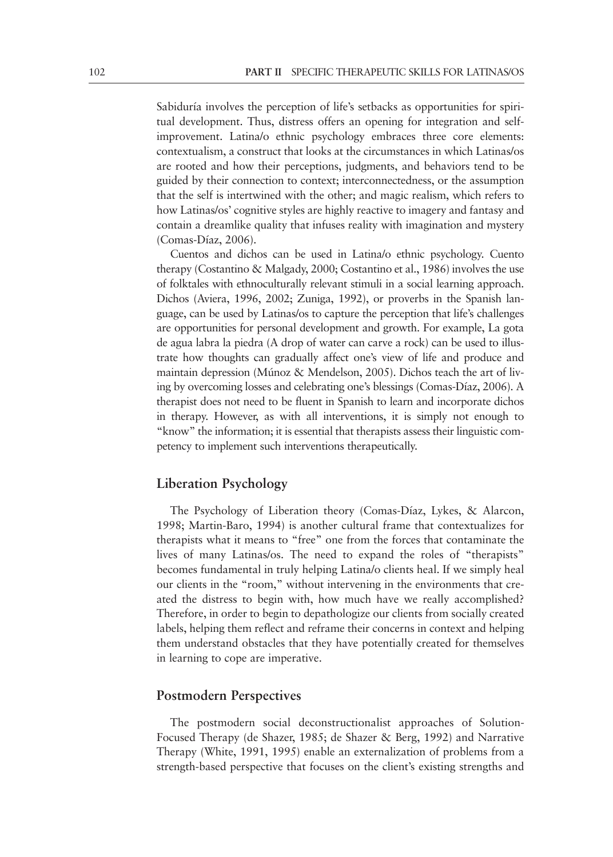Sabiduría involves the perception of life's setbacks as opportunities for spiritual development. Thus, distress offers an opening for integration and selfimprovement. Latina/o ethnic psychology embraces three core elements: contextualism, a construct that looks at the circumstances in which Latinas/os are rooted and how their perceptions, judgments, and behaviors tend to be guided by their connection to context; interconnectedness, or the assumption that the self is intertwined with the other; and magic realism, which refers to how Latinas/os' cognitive styles are highly reactive to imagery and fantasy and contain a dreamlike quality that infuses reality with imagination and mystery (Comas-Díaz, 2006).

Cuentos and dichos can be used in Latina/o ethnic psychology. Cuento therapy (Costantino & Malgady, 2000; Costantino et al., 1986) involves the use of folktales with ethnoculturally relevant stimuli in a social learning approach. Dichos (Aviera, 1996, 2002; Zuniga, 1992), or proverbs in the Spanish language, can be used by Latinas/os to capture the perception that life's challenges are opportunities for personal development and growth. For example, La gota de agua labra la piedra (A drop of water can carve a rock) can be used to illustrate how thoughts can gradually affect one's view of life and produce and maintain depression (Múnoz & Mendelson, 2005). Dichos teach the art of living by overcoming losses and celebrating one's blessings (Comas-Díaz, 2006). A therapist does not need to be fluent in Spanish to learn and incorporate dichos in therapy. However, as with all interventions, it is simply not enough to "know" the information; it is essential that therapists assess their linguistic competency to implement such interventions therapeutically.

#### **Liberation Psychology**

The Psychology of Liberation theory (Comas-Díaz, Lykes, & Alarcon, 1998; Martin-Baro, 1994) is another cultural frame that contextualizes for therapists what it means to "free" one from the forces that contaminate the lives of many Latinas/os. The need to expand the roles of "therapists" becomes fundamental in truly helping Latina/o clients heal. If we simply heal our clients in the "room," without intervening in the environments that created the distress to begin with, how much have we really accomplished? Therefore, in order to begin to depathologize our clients from socially created labels, helping them reflect and reframe their concerns in context and helping them understand obstacles that they have potentially created for themselves in learning to cope are imperative.

#### **Postmodern Perspectives**

The postmodern social deconstructionalist approaches of Solution-Focused Therapy (de Shazer, 1985; de Shazer & Berg, 1992) and Narrative Therapy (White, 1991, 1995) enable an externalization of problems from a strength-based perspective that focuses on the client's existing strengths and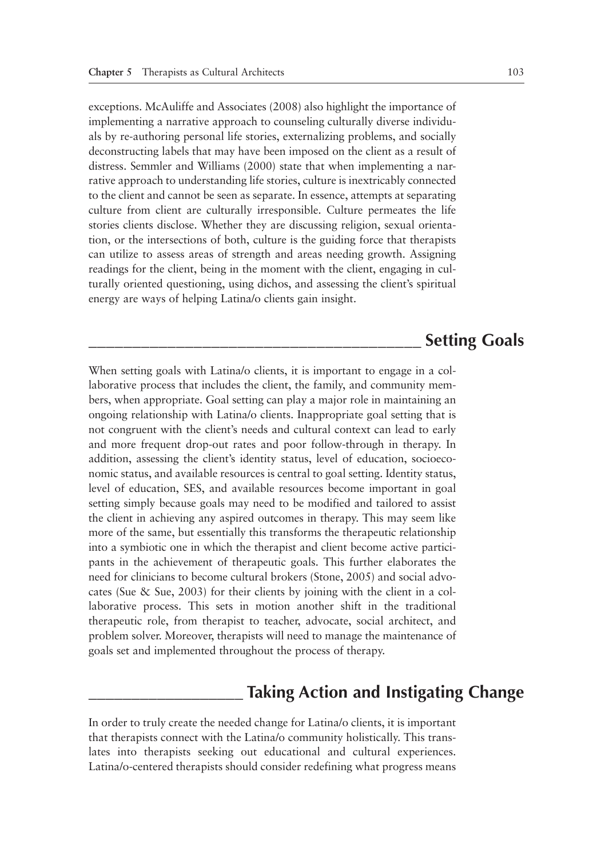exceptions. McAuliffe and Associates (2008) also highlight the importance of implementing a narrative approach to counseling culturally diverse individuals by re-authoring personal life stories, externalizing problems, and socially deconstructing labels that may have been imposed on the client as a result of distress. Semmler and Williams (2000) state that when implementing a narrative approach to understanding life stories, culture is inextricably connected to the client and cannot be seen as separate. In essence, attempts at separating culture from client are culturally irresponsible. Culture permeates the life stories clients disclose. Whether they are discussing religion, sexual orientation, or the intersections of both, culture is the guiding force that therapists can utilize to assess areas of strength and areas needing growth. Assigning readings for the client, being in the moment with the client, engaging in culturally oriented questioning, using dichos, and assessing the client's spiritual energy are ways of helping Latina/o clients gain insight.

## **\_\_\_\_\_\_\_\_\_\_\_\_\_\_\_\_\_\_\_\_\_\_\_\_\_\_\_\_\_\_\_\_\_\_\_\_\_\_ Setting Goals**

When setting goals with Latina/o clients, it is important to engage in a collaborative process that includes the client, the family, and community members, when appropriate. Goal setting can play a major role in maintaining an ongoing relationship with Latina/o clients. Inappropriate goal setting that is not congruent with the client's needs and cultural context can lead to early and more frequent drop-out rates and poor follow-through in therapy. In addition, assessing the client's identity status, level of education, socioeconomic status, and available resources is central to goal setting. Identity status, level of education, SES, and available resources become important in goal setting simply because goals may need to be modified and tailored to assist the client in achieving any aspired outcomes in therapy. This may seem like more of the same, but essentially this transforms the therapeutic relationship into a symbiotic one in which the therapist and client become active participants in the achievement of therapeutic goals. This further elaborates the need for clinicians to become cultural brokers (Stone, 2005) and social advocates (Sue & Sue, 2003) for their clients by joining with the client in a collaborative process. This sets in motion another shift in the traditional therapeutic role, from therapist to teacher, advocate, social architect, and problem solver. Moreover, therapists will need to manage the maintenance of goals set and implemented throughout the process of therapy.

## **\_\_\_\_\_\_\_\_\_\_\_\_\_\_\_\_\_\_ Taking Action and Instigating Change**

In order to truly create the needed change for Latina/o clients, it is important that therapists connect with the Latina/o community holistically. This translates into therapists seeking out educational and cultural experiences. Latina/o-centered therapists should consider redefining what progress means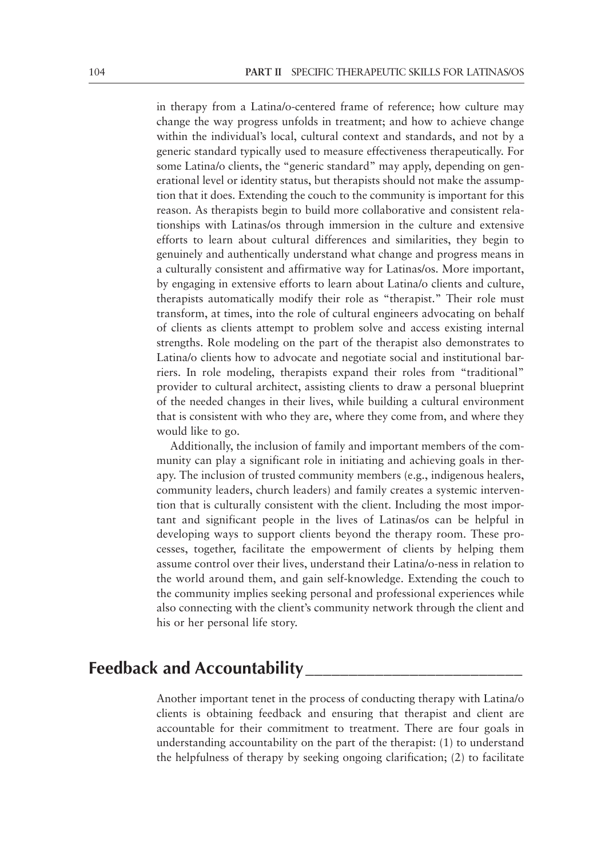in therapy from a Latina/o-centered frame of reference; how culture may change the way progress unfolds in treatment; and how to achieve change within the individual's local, cultural context and standards, and not by a generic standard typically used to measure effectiveness therapeutically. For some Latina/o clients, the "generic standard" may apply, depending on generational level or identity status, but therapists should not make the assumption that it does. Extending the couch to the community is important for this reason. As therapists begin to build more collaborative and consistent relationships with Latinas/os through immersion in the culture and extensive efforts to learn about cultural differences and similarities, they begin to genuinely and authentically understand what change and progress means in a culturally consistent and affirmative way for Latinas/os. More important, by engaging in extensive efforts to learn about Latina/o clients and culture, therapists automatically modify their role as "therapist." Their role must transform, at times, into the role of cultural engineers advocating on behalf of clients as clients attempt to problem solve and access existing internal strengths. Role modeling on the part of the therapist also demonstrates to Latina/o clients how to advocate and negotiate social and institutional barriers. In role modeling, therapists expand their roles from "traditional" provider to cultural architect, assisting clients to draw a personal blueprint of the needed changes in their lives, while building a cultural environment that is consistent with who they are, where they come from, and where they would like to go.

Additionally, the inclusion of family and important members of the community can play a significant role in initiating and achieving goals in therapy. The inclusion of trusted community members (e.g., indigenous healers, community leaders, church leaders) and family creates a systemic intervention that is culturally consistent with the client. Including the most important and significant people in the lives of Latinas/os can be helpful in developing ways to support clients beyond the therapy room. These processes, together, facilitate the empowerment of clients by helping them assume control over their lives, understand their Latina/o-ness in relation to the world around them, and gain self-knowledge. Extending the couch to the community implies seeking personal and professional experiences while also connecting with the client's community network through the client and his or her personal life story.

## **Feedback and Accountability\_\_\_\_\_\_\_\_\_\_\_\_\_\_\_\_\_\_\_\_\_\_\_\_\_**

Another important tenet in the process of conducting therapy with Latina/o clients is obtaining feedback and ensuring that therapist and client are accountable for their commitment to treatment. There are four goals in understanding accountability on the part of the therapist: (1) to understand the helpfulness of therapy by seeking ongoing clarification; (2) to facilitate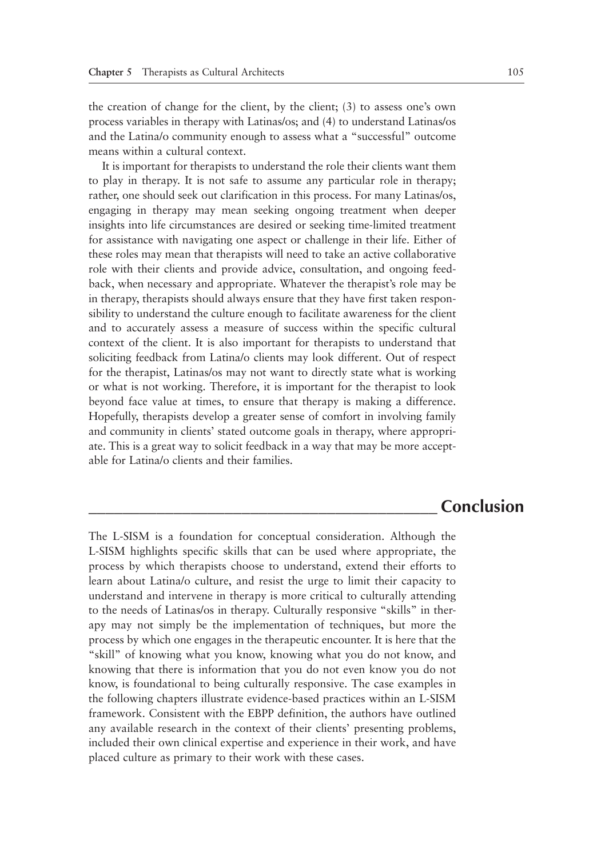the creation of change for the client, by the client; (3) to assess one's own process variables in therapy with Latinas/os; and (4) to understand Latinas/os and the Latina/o community enough to assess what a "successful" outcome means within a cultural context.

It is important for therapists to understand the role their clients want them to play in therapy. It is not safe to assume any particular role in therapy; rather, one should seek out clarification in this process. For many Latinas/os, engaging in therapy may mean seeking ongoing treatment when deeper insights into life circumstances are desired or seeking time-limited treatment for assistance with navigating one aspect or challenge in their life. Either of these roles may mean that therapists will need to take an active collaborative role with their clients and provide advice, consultation, and ongoing feedback, when necessary and appropriate. Whatever the therapist's role may be in therapy, therapists should always ensure that they have first taken responsibility to understand the culture enough to facilitate awareness for the client and to accurately assess a measure of success within the specific cultural context of the client. It is also important for therapists to understand that soliciting feedback from Latina/o clients may look different. Out of respect for the therapist, Latinas/os may not want to directly state what is working or what is not working. Therefore, it is important for the therapist to look beyond face value at times, to ensure that therapy is making a difference. Hopefully, therapists develop a greater sense of comfort in involving family and community in clients' stated outcome goals in therapy, where appropriate. This is a great way to solicit feedback in a way that may be more acceptable for Latina/o clients and their families.

### **\_\_\_\_\_\_\_\_\_\_\_\_\_\_\_\_\_\_\_\_\_\_\_\_\_\_\_\_\_\_\_\_\_\_\_\_\_\_\_\_\_ Conclusion**

The L-SISM is a foundation for conceptual consideration. Although the L-SISM highlights specific skills that can be used where appropriate, the process by which therapists choose to understand, extend their efforts to learn about Latina/o culture, and resist the urge to limit their capacity to understand and intervene in therapy is more critical to culturally attending to the needs of Latinas/os in therapy. Culturally responsive "skills" in therapy may not simply be the implementation of techniques, but more the process by which one engages in the therapeutic encounter. It is here that the "skill" of knowing what you know, knowing what you do not know, and knowing that there is information that you do not even know you do not know, is foundational to being culturally responsive. The case examples in the following chapters illustrate evidence-based practices within an L-SISM framework. Consistent with the EBPP definition, the authors have outlined any available research in the context of their clients' presenting problems, included their own clinical expertise and experience in their work, and have placed culture as primary to their work with these cases.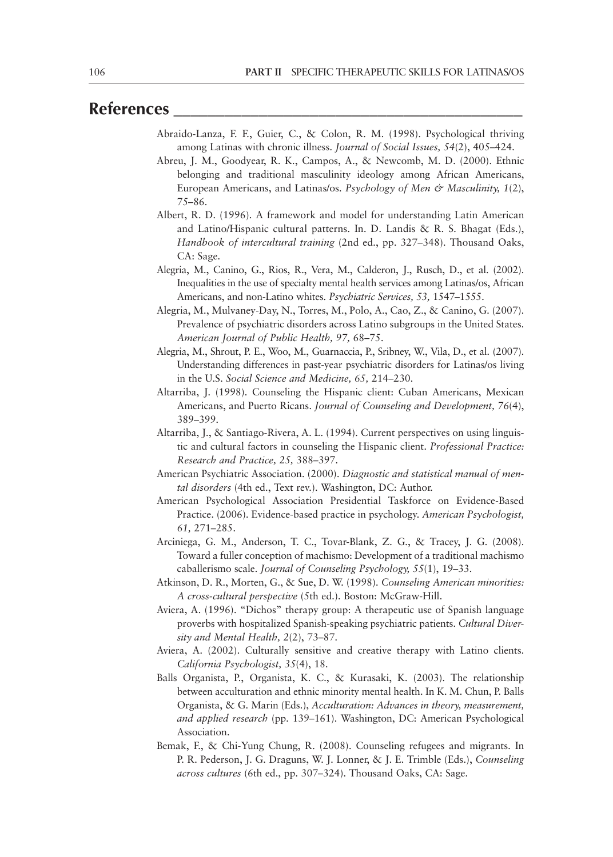## **References \_\_\_\_\_\_\_\_\_\_\_\_\_\_\_\_\_\_\_\_\_\_\_\_\_\_\_\_\_\_\_\_\_\_\_\_\_\_\_\_\_**

- Abraido-Lanza, F. F., Guier, C., & Colon, R. M. (1998). Psychological thriving among Latinas with chronic illness. *Journal of Social Issues, 54*(2), 405–424.
- Abreu, J. M., Goodyear, R. K., Campos, A., & Newcomb, M. D. (2000). Ethnic belonging and traditional masculinity ideology among African Americans, European Americans, and Latinas/os. *Psychology of Men & Masculinity, 1*(2), 75–86.
- Albert, R. D. (1996). A framework and model for understanding Latin American and Latino/Hispanic cultural patterns. In. D. Landis & R. S. Bhagat (Eds.), *Handbook of intercultural training* (2nd ed., pp. 327–348). Thousand Oaks, CA: Sage.
- Alegria, M., Canino, G., Rios, R., Vera, M., Calderon, J., Rusch, D., et al. (2002). Inequalities in the use of specialty mental health services among Latinas/os, African Americans, and non-Latino whites. *Psychiatric Services, 53,* 1547–1555.
- Alegria, M., Mulvaney-Day, N., Torres, M., Polo, A., Cao, Z., & Canino, G. (2007). Prevalence of psychiatric disorders across Latino subgroups in the United States. *American Journal of Public Health, 97,* 68–75.
- Alegria, M., Shrout, P. E., Woo, M., Guarnaccia, P., Sribney, W., Vila, D., et al. (2007). Understanding differences in past-year psychiatric disorders for Latinas/os living in the U.S. *Social Science and Medicine, 65,* 214–230.
- Altarriba, J. (1998). Counseling the Hispanic client: Cuban Americans, Mexican Americans, and Puerto Ricans. *Journal of Counseling and Development, 76*(4), 389–399.
- Altarriba, J., & Santiago-Rivera, A. L. (1994). Current perspectives on using linguistic and cultural factors in counseling the Hispanic client. *Professional Practice: Research and Practice, 25,* 388–397.
- American Psychiatric Association. (2000). *Diagnostic and statistical manual of mental disorders* (4th ed., Text rev.). Washington, DC: Author.
- American Psychological Association Presidential Taskforce on Evidence-Based Practice. (2006). Evidence-based practice in psychology. *American Psychologist, 61,* 271–285.
- Arciniega, G. M., Anderson, T. C., Tovar-Blank, Z. G., & Tracey, J. G. (2008). Toward a fuller conception of machismo: Development of a traditional machismo caballerismo scale. *Journal of Counseling Psychology, 55*(1), 19–33.
- Atkinson, D. R., Morten, G., & Sue, D. W. (1998). *Counseling American minorities: A cross-cultural perspective* (5th ed.). Boston: McGraw-Hill.
- Aviera, A. (1996). "Dichos" therapy group: A therapeutic use of Spanish language proverbs with hospitalized Spanish-speaking psychiatric patients. *Cultural Diversity and Mental Health, 2*(2), 73–87.
- Aviera, A. (2002). Culturally sensitive and creative therapy with Latino clients. *California Psychologist, 35*(4), 18.
- Balls Organista, P., Organista, K. C., & Kurasaki, K. (2003). The relationship between acculturation and ethnic minority mental health. In K. M. Chun, P. Balls Organista, & G. Marin (Eds.), *Acculturation: Advances in theory, measurement, and applied research* (pp. 139–161). Washington, DC: American Psychological Association.
- Bemak, F., & Chi-Yung Chung, R. (2008). Counseling refugees and migrants. In P. R. Pederson, J. G. Draguns, W. J. Lonner, & J. E. Trimble (Eds.), *Counseling across cultures* (6th ed., pp. 307–324). Thousand Oaks, CA: Sage.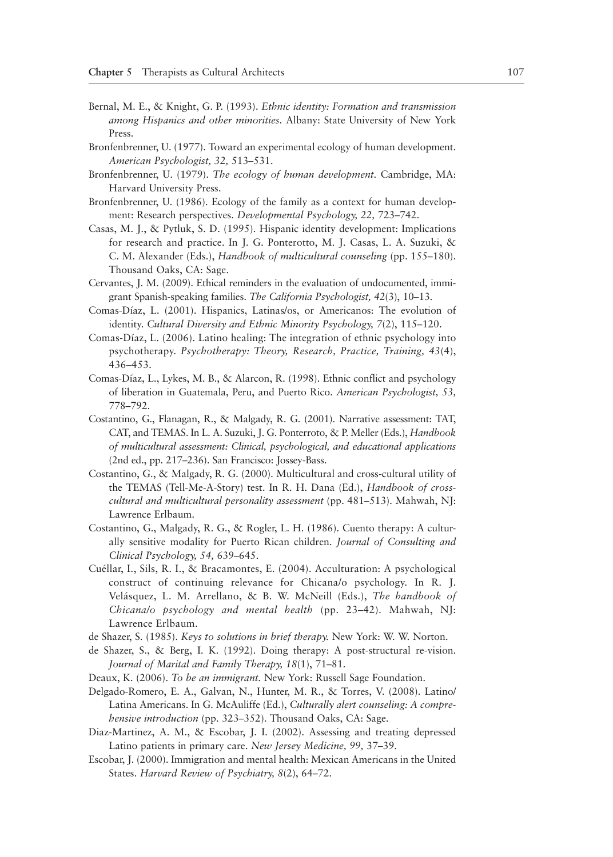- Bernal, M. E., & Knight, G. P. (1993). *Ethnic identity: Formation and transmission among Hispanics and other minorities.* Albany: State University of New York Press.
- Bronfenbrenner, U. (1977). Toward an experimental ecology of human development. *American Psychologist, 32,* 513–531.
- Bronfenbrenner, U. (1979). *The ecology of human development.* Cambridge, MA: Harvard University Press.
- Bronfenbrenner, U. (1986). Ecology of the family as a context for human development: Research perspectives. *Developmental Psychology, 22,* 723–742.
- Casas, M. J., & Pytluk, S. D. (1995). Hispanic identity development: Implications for research and practice. In J. G. Ponterotto, M. J. Casas, L. A. Suzuki, & C. M. Alexander (Eds.), *Handbook of multicultural counseling* (pp. 155–180). Thousand Oaks, CA: Sage.
- Cervantes, J. M. (2009). Ethical reminders in the evaluation of undocumented, immigrant Spanish-speaking families. *The California Psychologist, 42*(3), 10–13.
- Comas-Díaz, L. (2001). Hispanics, Latinas/os, or Americanos: The evolution of identity. *Cultural Diversity and Ethnic Minority Psychology, 7*(2), 115–120.
- Comas-Díaz, L. (2006). Latino healing: The integration of ethnic psychology into psychotherapy. *Psychotherapy: Theory, Research, Practice, Training, 43*(4), 436–453.
- Comas-Díaz, L., Lykes, M. B., & Alarcon, R. (1998). Ethnic conflict and psychology of liberation in Guatemala, Peru, and Puerto Rico. *American Psychologist, 53,* 778–792.
- Costantino, G., Flanagan, R., & Malgady, R. G. (2001). Narrative assessment: TAT, CAT, and TEMAS. In L. A. Suzuki, J. G. Ponterroto, & P. Meller (Eds.), *Handbook of multicultural assessment: Clinical, psychological, and educational applications*  (2nd ed., pp. 217–236). San Francisco: Jossey-Bass.
- Costantino, G., & Malgady, R. G. (2000). Multicultural and cross-cultural utility of the TEMAS (Tell-Me-A-Story) test. In R. H. Dana (Ed.), *Handbook of crosscultural and multicultural personality assessment* (pp. 481–513). Mahwah, NJ: Lawrence Erlbaum.
- Costantino, G., Malgady, R. G., & Rogler, L. H. (1986). Cuento therapy: A culturally sensitive modality for Puerto Rican children. *Journal of Consulting and Clinical Psychology, 54,* 639–645.
- Cuéllar, I., Sils, R. I., & Bracamontes, E. (2004). Acculturation: A psychological construct of continuing relevance for Chicana/o psychology. In R. J. Velásquez, L. M. Arrellano, & B. W. McNeill (Eds.), *The handbook of Chicana/o psychology and mental health* (pp. 23–42). Mahwah, NJ: Lawrence Erlbaum.
- de Shazer, S. (1985). *Keys to solutions in brief therapy.* New York: W. W. Norton.
- de Shazer, S., & Berg, I. K. (1992). Doing therapy: A post-structural re-vision. *Journal of Marital and Family Therapy, 18*(1), 71–81.
- Deaux, K. (2006). *To be an immigrant.* New York: Russell Sage Foundation.
- Delgado-Romero, E. A., Galvan, N., Hunter, M. R., & Torres, V. (2008). Latino/ Latina Americans. In G. McAuliffe (Ed.), *Culturally alert counseling: A comprehensive introduction* (pp. 323–352). Thousand Oaks, CA: Sage.
- Diaz-Martinez, A. M., & Escobar, J. I. (2002). Assessing and treating depressed Latino patients in primary care. *New Jersey Medicine, 99,* 37–39.
- Escobar, J. (2000). Immigration and mental health: Mexican Americans in the United States. *Harvard Review of Psychiatry, 8*(2), 64–72.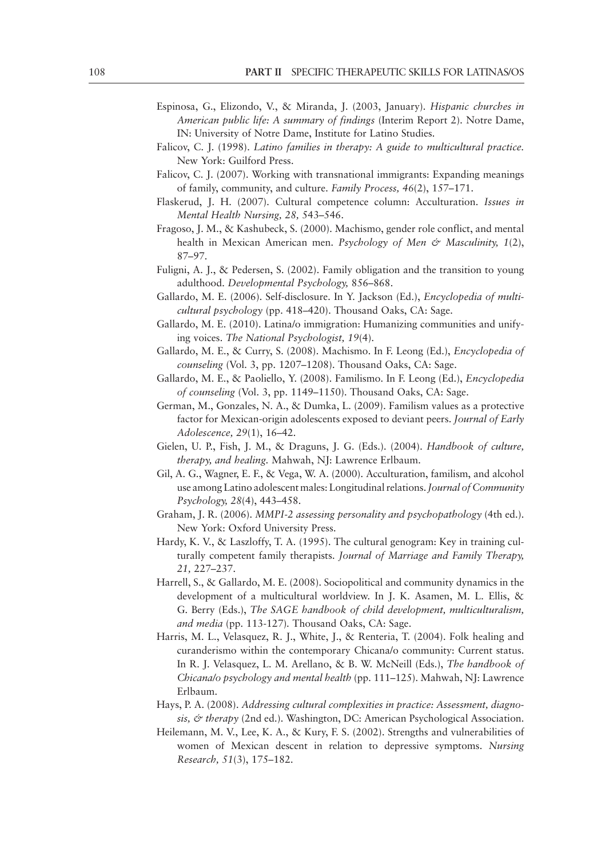- Espinosa, G., Elizondo, V., & Miranda, J. (2003, January). *Hispanic churches in American public life: A summary of findings* (Interim Report 2). Notre Dame, IN: University of Notre Dame, Institute for Latino Studies.
- Falicov, C. J. (1998). *Latino families in therapy: A guide to multicultural practice.* New York: Guilford Press.
- Falicov, C. J. (2007). Working with transnational immigrants: Expanding meanings of family, community, and culture. *Family Process, 46*(2), 157–171.
- Flaskerud, J. H. (2007). Cultural competence column: Acculturation. *Issues in Mental Health Nursing, 28,* 543–546.
- Fragoso, J. M., & Kashubeck, S. (2000). Machismo, gender role conflict, and mental health in Mexican American men. *Psychology of Men & Masculinity, 1*(2), 87–97.
- Fuligni, A. J., & Pedersen, S. (2002). Family obligation and the transition to young adulthood. *Developmental Psychology,* 856–868.
- Gallardo, M. E. (2006). Self-disclosure. In Y. Jackson (Ed.), *Encyclopedia of multicultural psychology* (pp. 418–420). Thousand Oaks, CA: Sage.
- Gallardo, M. E. (2010). Latina/o immigration: Humanizing communities and unifying voices. *The National Psychologist, 19*(4).
- Gallardo, M. E., & Curry, S. (2008). Machismo. In F. Leong (Ed.), *Encyclopedia of counseling* (Vol. 3, pp. 1207–1208). Thousand Oaks, CA: Sage.
- Gallardo, M. E., & Paoliello, Y. (2008). Familismo. In F. Leong (Ed.), *Encyclopedia of counseling* (Vol. 3, pp. 1149–1150). Thousand Oaks, CA: Sage.
- German, M., Gonzales, N. A., & Dumka, L. (2009). Familism values as a protective factor for Mexican-origin adolescents exposed to deviant peers. *Journal of Early Adolescence, 29*(1), 16–42.
- Gielen, U. P., Fish, J. M., & Draguns, J. G. (Eds.). (2004). *Handbook of culture, therapy, and healing.* Mahwah, NJ: Lawrence Erlbaum.
- Gil, A. G., Wagner, E. F., & Vega, W. A. (2000). Acculturation, familism, and alcohol use among Latino adolescent males: Longitudinal relations. *Journal of Community Psychology, 28*(4), 443–458.
- Graham, J. R. (2006). *MMPI-2 assessing personality and psychopathology* (4th ed.). New York: Oxford University Press.
- Hardy, K. V., & Laszloffy, T. A. (1995). The cultural genogram: Key in training culturally competent family therapists. *Journal of Marriage and Family Therapy, 21,* 227–237.
- Harrell, S., & Gallardo, M. E. (2008). Sociopolitical and community dynamics in the development of a multicultural worldview. In J. K. Asamen, M. L. Ellis, & G. Berry (Eds.), *The SAGE handbook of child development, multiculturalism, and media* (pp. 113-127)*.* Thousand Oaks, CA: Sage.
- Harris, M. L., Velasquez, R. J., White, J., & Renteria, T. (2004). Folk healing and curanderismo within the contemporary Chicana/o community: Current status. In R. J. Velasquez, L. M. Arellano, & B. W. McNeill (Eds.), *The handbook of Chicana/o psychology and mental health* (pp. 111–125). Mahwah, NJ: Lawrence Erlbaum.
- Hays, P. A. (2008). *Addressing cultural complexities in practice: Assessment, diagnosis, & therapy* (2nd ed.). Washington, DC: American Psychological Association.
- Heilemann, M. V., Lee, K. A., & Kury, F. S. (2002). Strengths and vulnerabilities of women of Mexican descent in relation to depressive symptoms. *Nursing Research, 51*(3), 175–182.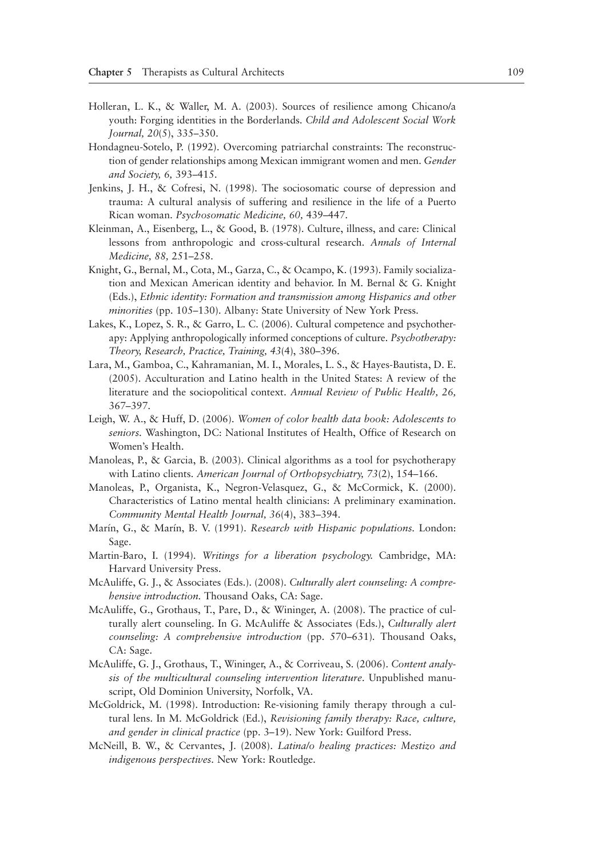- Holleran, L. K., & Waller, M. A. (2003). Sources of resilience among Chicano/a youth: Forging identities in the Borderlands. *Child and Adolescent Social Work Journal, 20*(5), 335–350.
- Hondagneu-Sotelo, P. (1992). Overcoming patriarchal constraints: The reconstruction of gender relationships among Mexican immigrant women and men. *Gender and Society, 6,* 393–415.
- Jenkins, J. H., & Cofresi, N. (1998). The sociosomatic course of depression and trauma: A cultural analysis of suffering and resilience in the life of a Puerto Rican woman. *Psychosomatic Medicine, 60,* 439–447.
- Kleinman, A., Eisenberg, L., & Good, B. (1978). Culture, illness, and care: Clinical lessons from anthropologic and cross-cultural research. *Annals of Internal Medicine, 88,* 251–258.
- Knight, G., Bernal, M., Cota, M., Garza, C., & Ocampo, K. (1993). Family socialization and Mexican American identity and behavior. In M. Bernal & G. Knight (Eds.), *Ethnic identity: Formation and transmission among Hispanics and other minorities* (pp. 105–130). Albany: State University of New York Press.
- Lakes, K., Lopez, S. R., & Garro, L. C. (2006). Cultural competence and psychotherapy: Applying anthropologically informed conceptions of culture. *Psychotherapy: Theory, Research, Practice, Training, 43*(4), 380–396.
- Lara, M., Gamboa, C., Kahramanian, M. I., Morales, L. S., & Hayes-Bautista, D. E. (2005). Acculturation and Latino health in the United States: A review of the literature and the sociopolitical context. *Annual Review of Public Health, 26,* 367–397.
- Leigh, W. A., & Huff, D. (2006). *Women of color health data book: Adolescents to seniors.* Washington, DC: National Institutes of Health, Office of Research on Women's Health.
- Manoleas, P., & Garcia, B. (2003). Clinical algorithms as a tool for psychotherapy with Latino clients. *American Journal of Orthopsychiatry, 73*(2), 154–166.
- Manoleas, P., Organista, K., Negron-Velasquez, G., & McCormick, K. (2000). Characteristics of Latino mental health clinicians: A preliminary examination. *Community Mental Health Journal, 36*(4), 383–394.
- Marín, G., & Marín, B. V. (1991). *Research with Hispanic populations.* London: Sage.
- Martin-Baro, I. (1994). *Writings for a liberation psychology.* Cambridge, MA: Harvard University Press.
- McAuliffe, G. J., & Associates (Eds.). (2008). *Culturally alert counseling: A comprehensive introduction.* Thousand Oaks, CA: Sage.
- McAuliffe, G., Grothaus, T., Pare, D., & Wininger, A. (2008). The practice of culturally alert counseling. In G. McAuliffe & Associates (Eds.), *Culturally alert counseling: A comprehensive introduction* (pp. 570–631)*.* Thousand Oaks, CA: Sage.
- McAuliffe, G. J., Grothaus, T., Wininger, A., & Corriveau, S. (2006). *Content analysis of the multicultural counseling intervention literature*. Unpublished manuscript, Old Dominion University, Norfolk, VA.
- McGoldrick, M. (1998). Introduction: Re-visioning family therapy through a cultural lens. In M. McGoldrick (Ed.), *Revisioning family therapy: Race, culture, and gender in clinical practice* (pp. 3–19). New York: Guilford Press.
- McNeill, B. W., & Cervantes, J. (2008). *Latina/o healing practices: Mestizo and indigenous perspectives.* New York: Routledge.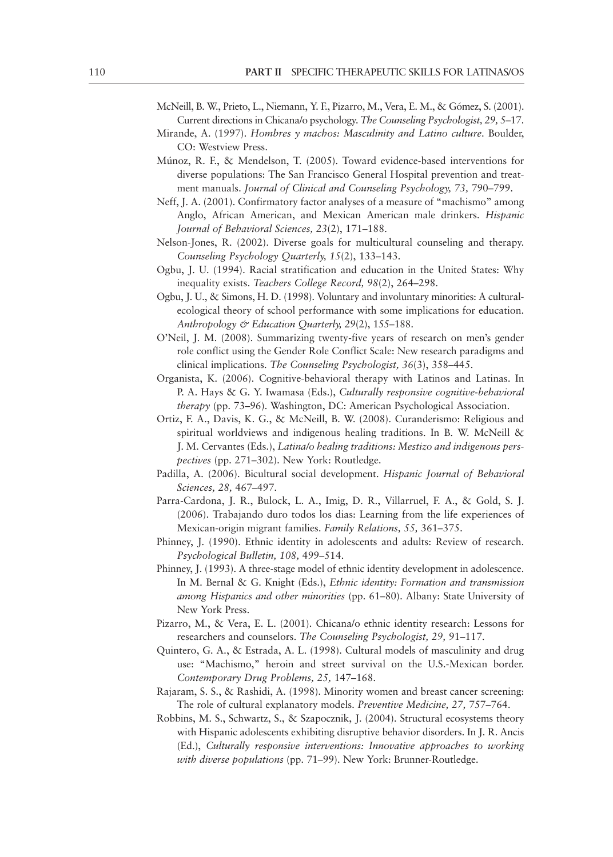- McNeill, B. W., Prieto, L., Niemann, Y. F., Pizarro, M., Vera, E. M., & Gómez, S. (2001). Current directions in Chicana/o psychology. *The Counseling Psychologist, 29,* 5–17.
- Mirande, A. (1997). *Hombres y machos: Masculinity and Latino culture.* Boulder, CO: Westview Press.
- Múnoz, R. F., & Mendelson, T. (2005). Toward evidence-based interventions for diverse populations: The San Francisco General Hospital prevention and treatment manuals. *Journal of Clinical and Counseling Psychology*, 73, 790–799.
- Neff, J. A. (2001). Confirmatory factor analyses of a measure of "machismo" among Anglo, African American, and Mexican American male drinkers. *Hispanic Journal of Behavioral Sciences, 23*(2), 171–188.
- Nelson-Jones, R. (2002). Diverse goals for multicultural counseling and therapy. *Counseling Psychology Quarterly, 15*(2), 133–143.
- Ogbu, J. U. (1994). Racial stratification and education in the United States: Why inequality exists. *Teachers College Record, 98*(2), 264–298.
- Ogbu, J. U., & Simons, H. D. (1998). Voluntary and involuntary minorities: A culturalecological theory of school performance with some implications for education. *Anthropology & Education Quarterly, 29*(2), 155–188.
- O'Neil, J. M. (2008). Summarizing twenty-five years of research on men's gender role conflict using the Gender Role Conflict Scale: New research paradigms and clinical implications. *The Counseling Psychologist, 36*(3), 358–445.
- Organista, K. (2006). Cognitive-behavioral therapy with Latinos and Latinas. In P. A. Hays & G. Y. Iwamasa (Eds.), *Culturally responsive cognitive-behavioral therapy* (pp. 73–96). Washington, DC: American Psychological Association.
- Ortiz, F. A., Davis, K. G., & McNeill, B. W. (2008). Curanderismo: Religious and spiritual worldviews and indigenous healing traditions. In B. W. McNeill & J. M. Cervantes (Eds.), *Latina/o healing traditions: Mestizo and indigenous perspectives* (pp. 271–302). New York: Routledge.
- Padilla, A. (2006). Bicultural social development. *Hispanic Journal of Behavioral Sciences, 28,* 467–497.
- Parra-Cardona, J. R., Bulock, L. A., Imig, D. R., Villarruel, F. A., & Gold, S. J. (2006). Trabajando duro todos los dias: Learning from the life experiences of Mexican-origin migrant families. *Family Relations, 55,* 361–375.
- Phinney, J. (1990). Ethnic identity in adolescents and adults: Review of research. *Psychological Bulletin, 108,* 499–514.
- Phinney, J. (1993). A three-stage model of ethnic identity development in adolescence. In M. Bernal & G. Knight (Eds.), *Ethnic identity: Formation and transmission among Hispanics and other minorities* (pp. 61–80). Albany: State University of New York Press.
- Pizarro, M., & Vera, E. L. (2001). Chicana/o ethnic identity research: Lessons for researchers and counselors. *The Counseling Psychologist, 29,* 91–117.
- Quintero, G. A., & Estrada, A. L. (1998). Cultural models of masculinity and drug use: "Machismo," heroin and street survival on the U.S.-Mexican border. *Contemporary Drug Problems, 25,* 147–168.
- Rajaram, S. S., & Rashidi, A. (1998). Minority women and breast cancer screening: The role of cultural explanatory models. *Preventive Medicine, 27,* 757–764.
- Robbins, M. S., Schwartz, S., & Szapocznik, J. (2004). Structural ecosystems theory with Hispanic adolescents exhibiting disruptive behavior disorders. In J. R. Ancis (Ed.), *Culturally responsive interventions: Innovative approaches to working with diverse populations* (pp. 71–99). New York: Brunner-Routledge.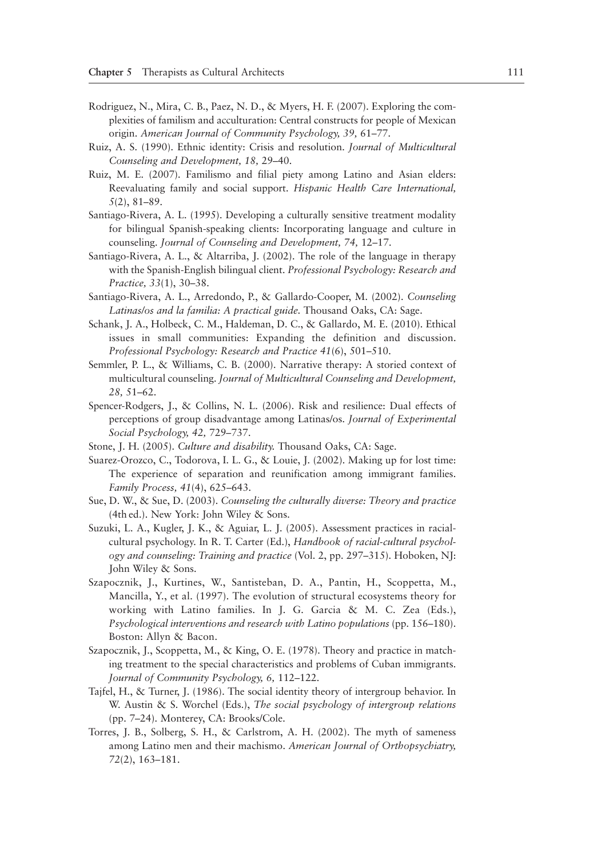- Rodriguez, N., Mira, C. B., Paez, N. D., & Myers, H. F. (2007). Exploring the complexities of familism and acculturation: Central constructs for people of Mexican origin. *American Journal of Community Psychology, 39,* 61–77.
- Ruiz, A. S. (1990). Ethnic identity: Crisis and resolution. *Journal of Multicultural Counseling and Development, 18,* 29–40.
- Ruiz, M. E. (2007). Familismo and filial piety among Latino and Asian elders: Reevaluating family and social support. *Hispanic Health Care International, 5*(2), 81–89.
- Santiago-Rivera, A. L. (1995). Developing a culturally sensitive treatment modality for bilingual Spanish-speaking clients: Incorporating language and culture in counseling. *Journal of Counseling and Development, 74,* 12–17.
- Santiago-Rivera, A. L., & Altarriba, J. (2002). The role of the language in therapy with the Spanish-English bilingual client. *Professional Psychology: Research and Practice, 33*(1), 30–38.
- Santiago-Rivera, A. L., Arredondo, P., & Gallardo-Cooper, M. (2002). *Counseling Latinas/os and la familia: A practical guide.* Thousand Oaks, CA: Sage.
- Schank, J. A., Holbeck, C. M., Haldeman, D. C., & Gallardo, M. E. (2010). Ethical issues in small communities: Expanding the definition and discussion. *Professional Psychology: Research and Practice 41*(6), 501–510.
- Semmler, P. L., & Williams, C. B. (2000). Narrative therapy: A storied context of multicultural counseling. *Journal of Multicultural Counseling and Development, 28,* 51–62.
- Spencer-Rodgers, J., & Collins, N. L. (2006). Risk and resilience: Dual effects of perceptions of group disadvantage among Latinas/os. *Journal of Experimental Social Psychology, 42,* 729–737.
- Stone, J. H. (2005). *Culture and disability.* Thousand Oaks, CA: Sage.
- Suarez-Orozco, C., Todorova, I. L. G., & Louie, J. (2002). Making up for lost time: The experience of separation and reunification among immigrant families. *Family Process, 41*(4), 625–643.
- Sue, D. W., & Sue, D. (2003). *Counseling the culturally diverse: Theory and practice* (4th ed.). New York: John Wiley & Sons.
- Suzuki, L. A., Kugler, J. K., & Aguiar, L. J. (2005). Assessment practices in racialcultural psychology. In R. T. Carter (Ed.), *Handbook of racial-cultural psychology and counseling: Training and practice* (Vol. 2, pp. 297–315). Hoboken, NJ: John Wiley & Sons.
- Szapocznik, J., Kurtines, W., Santisteban, D. A., Pantin, H., Scoppetta, M., Mancilla, Y., et al. (1997). The evolution of structural ecosystems theory for working with Latino families. In J. G. Garcia & M. C. Zea (Eds.), Psychological interventions and research with Latino populations (pp. 156–180). Boston: Allyn & Bacon.
- Szapocznik, J., Scoppetta, M., & King, O. E. (1978). Theory and practice in matching treatment to the special characteristics and problems of Cuban immigrants. *Journal of Community Psychology, 6,* 112–122.
- Tajfel, H., & Turner, J. (1986). The social identity theory of intergroup behavior. In W. Austin & S. Worchel (Eds.), *The social psychology of intergroup relations* (pp. 7–24). Monterey, CA: Brooks/Cole.
- Torres, J. B., Solberg, S. H., & Carlstrom, A. H. (2002). The myth of sameness among Latino men and their machismo. *American Journal of Orthopsychiatry, 72*(2), 163–181.